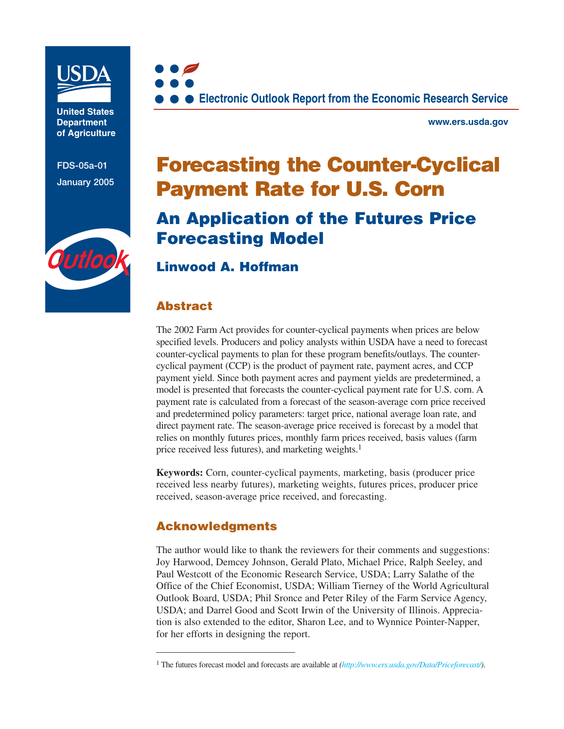

**United States Department of Agriculture**

**FDS-05a-01 January 2005**





**www.ers.usda.gov**

# **Forecasting the Counter-Cyclical Payment Rate for U.S. Corn**

## **An Application of the Futures Price Forecasting Model**

## **[Linwood A. Hoffman](mailto:lhoffman@ers.usda.gov)**

## **Abstract**

The 2002 Farm Act provides for counter-cyclical payments when prices are below specified levels. Producers and policy analysts within USDA have a need to forecast counter-cyclical payments to plan for these program benefits/outlays. The countercyclical payment (CCP) is the product of payment rate, payment acres, and CCP payment yield. Since both payment acres and payment yields are predetermined, a model is presented that forecasts the counter-cyclical payment rate for U.S. corn. A payment rate is calculated from a forecast of the season-average corn price received and predetermined policy parameters: target price, national average loan rate, and direct payment rate. The season-average price received is forecast by a model that relies on monthly futures prices, monthly farm prices received, basis values (farm price received less futures), and marketing weights.<sup>1</sup>

**Keywords:** Corn, counter-cyclical payments, marketing, basis (producer price received less nearby futures), marketing weights, futures prices, producer price received, season-average price received, and forecasting.

## **Acknowledgments**

The author would like to thank the reviewers for their comments and suggestions: Joy Harwood, Demcey Johnson, Gerald Plato, Michael Price, Ralph Seeley, and Paul Westcott of the Economic Research Service, USDA; Larry Salathe of the Office of the Chief Economist, USDA; William Tierney of the World Agricultural Outlook Board, USDA; Phil Sronce and Peter Riley of the Farm Service Agency, USDA; and Darrel Good and Scott Irwin of the University of Illinois. Appreciation is also extended to the editor, Sharon Lee, and to Wynnice Pointer-Napper, for her efforts in designing the report.

<sup>1</sup> The futures forecast model and forecasts are available at *([http://www.ers.usda.gov/Data/Priceforecast/\)](http://www.ers.usda.gov/data/priceforecast/)*.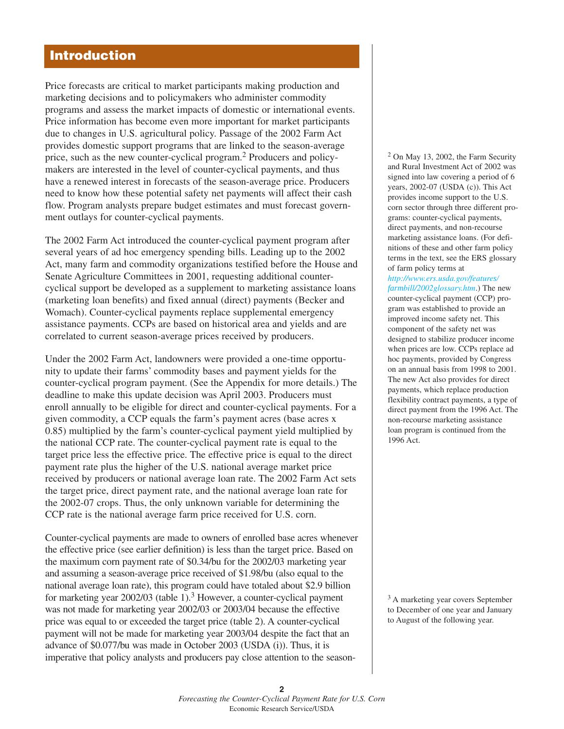## **Introduction**

Price forecasts are critical to market participants making production and marketing decisions and to policymakers who administer commodity programs and assess the market impacts of domestic or international events. Price information has become even more important for market participants due to changes in U.S. agricultural policy. Passage of the 2002 Farm Act provides domestic support programs that are linked to the season-average price, such as the new counter-cyclical program.<sup>2</sup> Producers and policymakers are interested in the level of counter-cyclical payments, and thus have a renewed interest in forecasts of the season-average price. Producers need to know how these potential safety net payments will affect their cash flow. Program analysts prepare budget estimates and must forecast government outlays for counter-cyclical payments.

The 2002 Farm Act introduced the counter-cyclical payment program after several years of ad hoc emergency spending bills. Leading up to the 2002 Act, many farm and commodity organizations testified before the House and Senate Agriculture Committees in 2001, requesting additional countercyclical support be developed as a supplement to marketing assistance loans (marketing loan benefits) and fixed annual (direct) payments (Becker and Womach). Counter-cyclical payments replace supplemental emergency assistance payments. CCPs are based on historical area and yields and are correlated to current season-average prices received by producers.

Under the 2002 Farm Act, landowners were provided a one-time opportunity to update their farms' commodity bases and payment yields for the counter-cyclical program payment. (See the Appendix for more details.) The deadline to make this update decision was April 2003. Producers must enroll annually to be eligible for direct and counter-cyclical payments. For a given commodity, a CCP equals the farm's payment acres (base acres x 0.85) multiplied by the farm's counter-cyclical payment yield multiplied by the national CCP rate. The counter-cyclical payment rate is equal to the target price less the effective price. The effective price is equal to the direct payment rate plus the higher of the U.S. national average market price received by producers or national average loan rate. The 2002 Farm Act sets the target price, direct payment rate, and the national average loan rate for the 2002-07 crops. Thus, the only unknown variable for determining the CCP rate is the national average farm price received for U.S. corn.

Counter-cyclical payments are made to owners of enrolled base acres whenever the effective price (see earlier definition) is less than the target price. Based on the maximum corn payment rate of \$0.34/bu for the 2002/03 marketing year and assuming a season-average price received of \$1.98/bu (also equal to the national average loan rate), this program could have totaled about \$2.9 billion for marketing year  $2002/03$  (table 1).<sup>3</sup> However, a counter-cyclical payment was not made for marketing year 2002/03 or 2003/04 because the effective price was equal to or exceeded the target price (table 2). A counter-cyclical payment will not be made for marketing year 2003/04 despite the fact that an advance of \$0.077/bu was made in October 2003 (USDA (i)). Thus, it is imperative that policy analysts and producers pay close attention to the season<sup>2</sup> On May 13, 2002, the Farm Security and Rural Investment Act of 2002 was signed into law covering a period of 6 years, 2002-07 (USDA (c)). This Act provides income support to the U.S. corn sector through three different programs: counter-cyclical payments, direct payments, and non-recourse marketing assistance loans. (For definitions of these and other farm policy terms in the text, see the ERS glossary of farm policy terms at

*[http://www.ers.usda.gov/feature](http://www.ers.usda.gov/features/farmbill/2002glossary.htm)s/ farm[bill/2002glossary.htm](http://www.ers.usda.gov/features/farmbill/2002glossary.htm)*.) The new counter-cyclical payment (CCP) program was established to provide an improved income safety net. This component of the safety net was designed to stabilize producer income when prices are low. CCPs replace ad hoc payments, provided by Congress on an annual basis from 1998 to 2001. The new Act also provides for direct payments, which replace production flexibility contract payments, a type of direct payment from the 1996 Act. The non-recourse marketing assistance loan program is continued from the 1996 Act.

<sup>3</sup> A marketing year covers September to December of one year and January to August of the following year.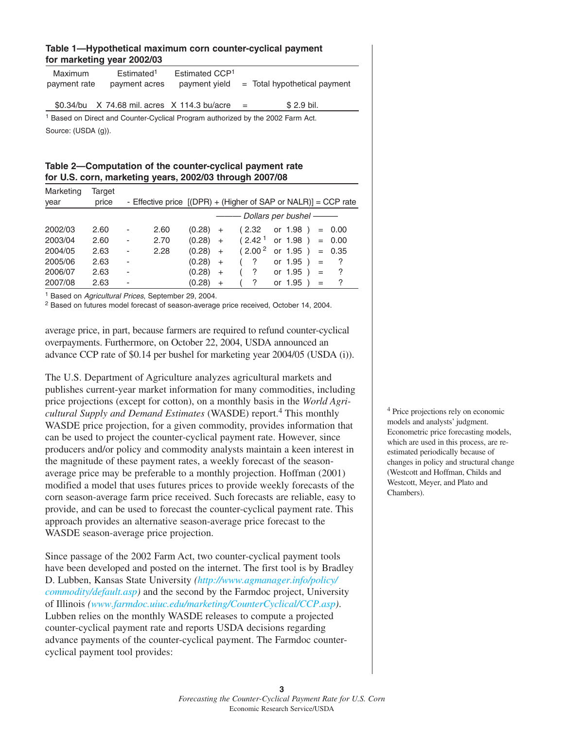#### **Table 1—Hypothetical maximum corn counter-cyclical payment for marketing year 2002/03**

| <b>Maximum</b><br>payment rate | Estimated <sup>1</sup><br>payment acres      | Estimated CCP <sup>1</sup><br>payment yield | $=$ Total hypothetical payment                                                             |
|--------------------------------|----------------------------------------------|---------------------------------------------|--------------------------------------------------------------------------------------------|
|                                | \$0.34/bu X 74.68 mil. acres X 114.3 bu/acre |                                             | $$2.9$ bil.<br>$=$                                                                         |
|                                |                                              |                                             | <sup>1</sup> Based on Direct and Counter-Cyclical Program authorized by the 2002 Farm Act. |
| Source: (USDA (g)).            |                                              |                                             |                                                                                            |

| Table 2—Computation of the counter-cyclical payment rate |  |
|----------------------------------------------------------|--|
| for U.S. corn, marketing years, 2002/03 through 2007/08  |  |

| Marketing | Target |   |                                                                |        |           |                      |                          |     |          |
|-----------|--------|---|----------------------------------------------------------------|--------|-----------|----------------------|--------------------------|-----|----------|
| year      | price  |   | - Effective price [(DPR) + (Higher of SAP or NALR)] = CCP rate |        |           |                      |                          |     |          |
|           |        |   |                                                                |        |           |                      | - Dollars per bushel ——— |     |          |
| 2002/03   | 2.60   | ٠ | 2.60                                                           | (0.28) | $+$       | (2.32)               | or 1.98 )                |     | $= 0.00$ |
| 2003/04   | 2.60   | ٠ | 2.70                                                           | (0.28) | $+$       | (2.42 <sup>1</sup> ) | or 1.98)                 |     | $= 0.00$ |
| 2004/05   | 2.63   | - | 2.28                                                           | (0.28) | $+$       | (2.00 <sup>2</sup> ) | or 1.95 )                |     | $= 0.35$ |
| 2005/06   | 2.63   | ٠ |                                                                | (0.28) | $+$       | $\cdot$ ?            | or $1.95$ )              | $=$ | ?        |
| 2006/07   | 2.63   | ۰ |                                                                | (0.28) | $\ddot{}$ | ?                    | or $1.95$ )              | $=$ | ?        |
| 2007/08   | 2.63   | - |                                                                | (0.28) | $+$       | ?                    | or 1.95                  | $=$ | ?        |

<sup>1</sup> Based on Agricultural Prices, September 29, 2004.

<sup>2</sup> Based on futures model forecast of season-average price received, October 14, 2004.

average price, in part, because farmers are required to refund counter-cyclical overpayments. Furthermore, on October 22, 2004, USDA announced an advance CCP rate of \$0.14 per bushel for marketing year 2004/05 (USDA (i)).

The U.S. Department of Agriculture analyzes agricultural markets and publishes current-year market information for many commodities, including price projections (except for cotton), on a monthly basis in the *World Agricultural Supply and Demand Estimates* (WASDE) report.4 This monthly WASDE price projection, for a given commodity, provides information that can be used to project the counter-cyclical payment rate. However, since producers and/or policy and commodity analysts maintain a keen interest in the magnitude of these payment rates, a weekly forecast of the seasonaverage price may be preferable to a monthly projection. Hoffman (2001) modified a model that uses futures prices to provide weekly forecasts of the corn season-average farm price received. Such forecasts are reliable, easy to provide, and can be used to forecast the counter-cyclical payment rate. This approach provides an alternative season-average price forecast to the WASDE season-average price projection.

Since passage of the 2002 Farm Act, two counter-cyclical payment tools have been developed and posted on the internet. The first tool is by Bradley D. Lubben, Kansas State University *[\(http://www.agmanager.info/policy/](http://www.agmanager.info/policy/commodity/default.asp) [commodity/default.asp\)](http://www.agmanager.info/policy/commodity/default.asp)* and the second by the Farmdoc project, University of Illinois *[\(www.farmdoc.uiuc.edu/marketing/CounterCyclical/CCP.asp\)](www.farmdoc.uiuc.edu/marketing/CounterCyclical/CCP.asp)*. Lubben relies on the monthly WASDE releases to compute a projected counter-cyclical payment rate and reports USDA decisions regarding advance payments of the counter-cyclical payment. The Farmdoc countercyclical payment tool provides:

<sup>4</sup> Price projections rely on economic models and analysts' judgment. Econometric price forecasting models, which are used in this process, are reestimated periodically because of changes in policy and structural change (Westcott and Hoffman, Childs and Westcott, Meyer, and Plato and Chambers).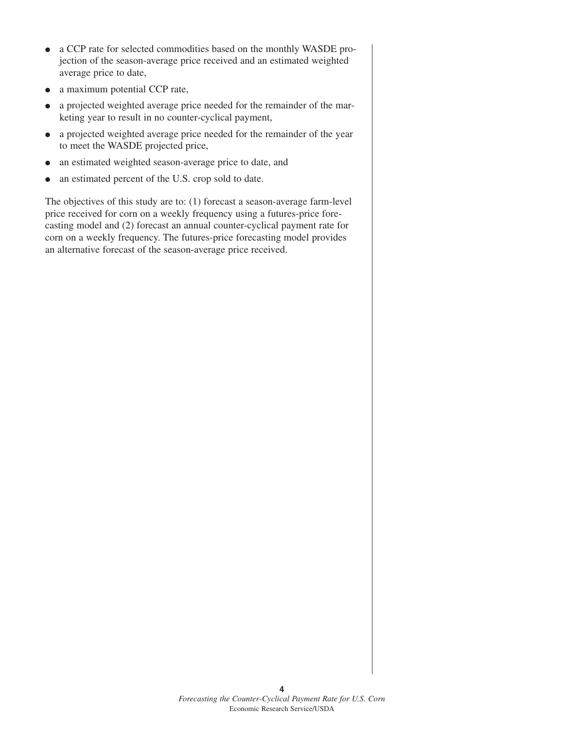- a CCP rate for selected commodities based on the monthly WASDE projection of the season-average price received and an estimated weighted average price to date,
- a maximum potential CCP rate,
- a projected weighted average price needed for the remainder of the marketing year to result in no counter-cyclical payment,
- a projected weighted average price needed for the remainder of the year to meet the WASDE projected price,
- an estimated weighted season-average price to date, and
- an estimated percent of the U.S. crop sold to date.

The objectives of this study are to: (1) forecast a season-average farm-level price received for corn on a weekly frequency using a futures-price forecasting model and (2) forecast an annual counter-cyclical payment rate for corn on a weekly frequency. The futures-price forecasting model provides an alternative forecast of the season-average price received.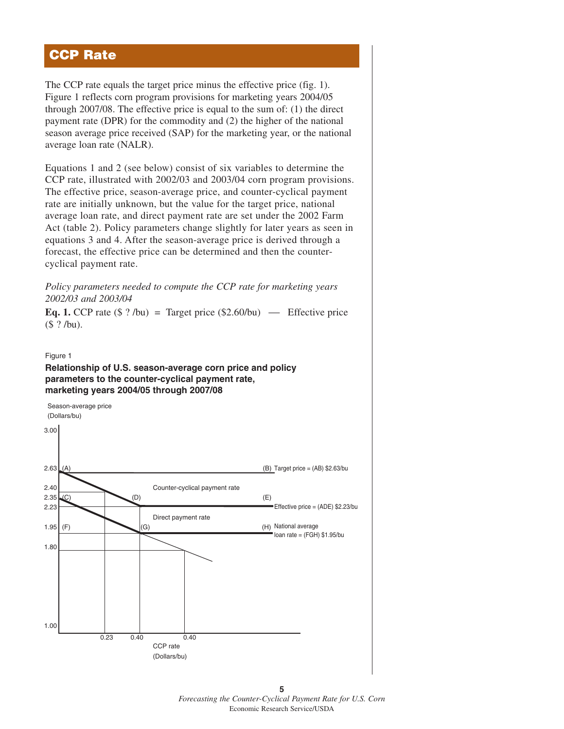## **CCP Rate**

The CCP rate equals the target price minus the effective price (fig. 1). Figure 1 reflects corn program provisions for marketing years 2004/05 through 2007/08. The effective price is equal to the sum of: (1) the direct payment rate (DPR) for the commodity and (2) the higher of the national season average price received (SAP) for the marketing year, or the national average loan rate (NALR).

Equations 1 and 2 (see below) consist of six variables to determine the CCP rate, illustrated with 2002/03 and 2003/04 corn program provisions. The effective price, season-average price, and counter-cyclical payment rate are initially unknown, but the value for the target price, national average loan rate, and direct payment rate are set under the 2002 Farm Act (table 2). Policy parameters change slightly for later years as seen in equations 3 and 4. After the season-average price is derived through a forecast, the effective price can be determined and then the countercyclical payment rate.

*Policy parameters needed to compute the CCP rate for marketing years 2002/03 and 2003/04*

**Eq. 1.** CCP rate  $(\$ ? /bu) = Target price (\$2.60/bu) \t\t— Effective price$ (\$ ? /bu).

Figure 1

#### **Relationship of U.S. season-average corn price and policy parameters to the counter-cyclical payment rate, marketing years 2004/05 through 2007/08**



**5** *Forecasting the Counter-Cyclical Payment Rate for U.S. Corn* Economic Research Service/USDA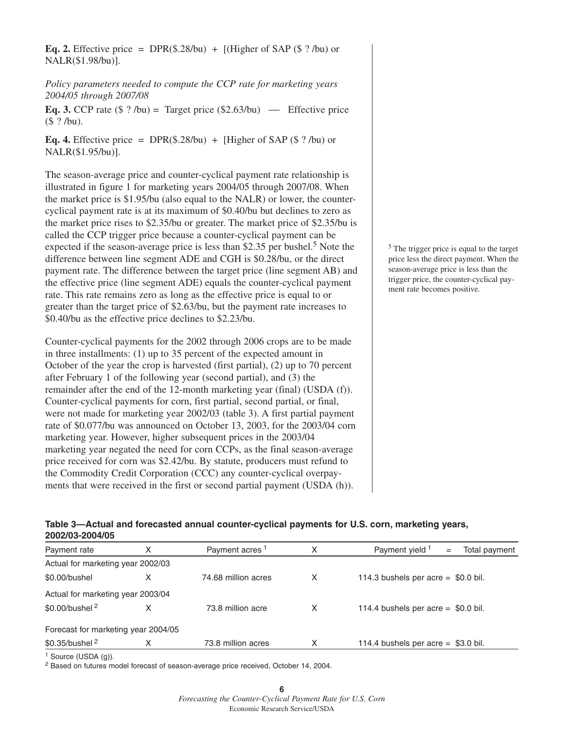**Eq. 2.** Effective price = DPR(\$.28/bu) +  $[(Higher of SAP (§ ?/bu) or$ NALR(\$1.98/bu)].

*Policy parameters needed to compute the CCP rate for marketing years 2004/05 through 2007/08*

**Eq. 3.** CCP rate  $(\$ ? /bu) = Target price (\$2.63/bu) \t\t— Effective price$ (\$ ? /bu).

**Eq. 4.** Effective price = DPR(\$.28/bu) + [Higher of SAP (\$ ?/bu) or NALR(\$1.95/bu)].

The season-average price and counter-cyclical payment rate relationship is illustrated in figure 1 for marketing years 2004/05 through 2007/08. When the market price is \$1.95/bu (also equal to the NALR) or lower, the countercyclical payment rate is at its maximum of \$0.40/bu but declines to zero as the market price rises to \$2.35/bu or greater. The market price of \$2.35/bu is called the CCP trigger price because a counter-cyclical payment can be expected if the season-average price is less than \$2.35 per bushel.<sup>5</sup> Note the difference between line segment ADE and CGH is \$0.28/bu, or the direct payment rate. The difference between the target price (line segment AB) and the effective price (line segment ADE) equals the counter-cyclical payment rate. This rate remains zero as long as the effective price is equal to or greater than the target price of \$2.63/bu, but the payment rate increases to \$0.40/bu as the effective price declines to \$2.23/bu.

Counter-cyclical payments for the 2002 through 2006 crops are to be made in three installments: (1) up to 35 percent of the expected amount in October of the year the crop is harvested (first partial), (2) up to 70 percent after February 1 of the following year (second partial), and (3) the remainder after the end of the 12-month marketing year (final) (USDA (f)). Counter-cyclical payments for corn, first partial, second partial, or final, were not made for marketing year 2002/03 (table 3). A first partial payment rate of \$0.077/bu was announced on October 13, 2003, for the 2003/04 corn marketing year. However, higher subsequent prices in the 2003/04 marketing year negated the need for corn CCPs, as the final season-average price received for corn was \$2.42/bu. By statute, producers must refund to the Commodity Credit Corporation (CCC) any counter-cyclical overpayments that were received in the first or second partial payment (USDA (h)).

<sup>5</sup> The trigger price is equal to the target price less the direct payment. When the season-average price is less than the trigger price, the counter-cyclical payment rate becomes positive.

## **Table 3—Actual and forecasted annual counter-cyclical payments for U.S. corn, marketing years, 2002/03-2004/05**

| Payment rate                        | Х | Payment acres <sup>1</sup> | Х | Payment yield 1<br>Total payment<br>$=$ |
|-------------------------------------|---|----------------------------|---|-----------------------------------------|
| Actual for marketing year 2002/03   |   |                            |   |                                         |
| \$0.00/bushel                       | х | 74.68 million acres        | Х | 114.3 bushels per acre = $$0.0$ bil.    |
| Actual for marketing year 2003/04   |   |                            |   |                                         |
| $$0.00/b$ ushel $^2$                | x | 73.8 million acre          | Х | 114.4 bushels per acre = $$0.0$ bil.    |
| Forecast for marketing year 2004/05 |   |                            |   |                                         |
| \$0.35/bushel <sup>2</sup>          | x | 73.8 million acres         | Х | 114.4 bushels per acre = $$3.0$ bil.    |
|                                     |   |                            |   |                                         |

<sup>1</sup> Source (USDA (g)).

<sup>2</sup> Based on futures model forecast of season-average price received, October 14, 2004.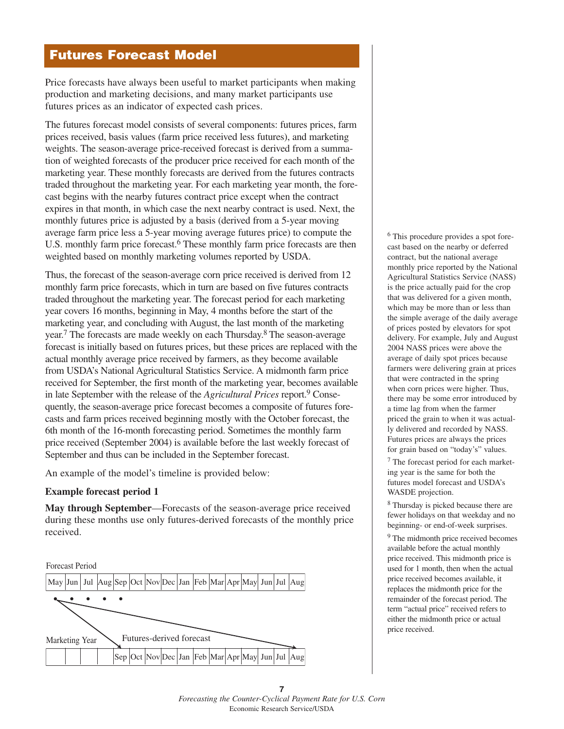## **Futures Forecast Model**

Price forecasts have always been useful to market participants when making production and marketing decisions, and many market participants use futures prices as an indicator of expected cash prices.

The futures forecast model consists of several components: futures prices, farm prices received, basis values (farm price received less futures), and marketing weights. The season-average price-received forecast is derived from a summation of weighted forecasts of the producer price received for each month of the marketing year. These monthly forecasts are derived from the futures contracts traded throughout the marketing year. For each marketing year month, the forecast begins with the nearby futures contract price except when the contract expires in that month, in which case the next nearby contract is used. Next, the monthly futures price is adjusted by a basis (derived from a 5-year moving average farm price less a 5-year moving average futures price) to compute the U.S. monthly farm price forecast.<sup>6</sup> These monthly farm price forecasts are then weighted based on monthly marketing volumes reported by USDA.

Thus, the forecast of the season-average corn price received is derived from 12 monthly farm price forecasts, which in turn are based on five futures contracts traded throughout the marketing year. The forecast period for each marketing year covers 16 months, beginning in May, 4 months before the start of the marketing year, and concluding with August, the last month of the marketing year.<sup>7</sup> The forecasts are made weekly on each Thursday.<sup>8</sup> The season-average forecast is initially based on futures prices, but these prices are replaced with the actual monthly average price received by farmers, as they become available from USDA's National Agricultural Statistics Service. A midmonth farm price received for September, the first month of the marketing year, becomes available in late September with the release of the *Agricultural Prices* report.9 Consequently, the season-average price forecast becomes a composite of futures forecasts and farm prices received beginning mostly with the October forecast, the 6th month of the 16-month forecasting period. Sometimes the monthly farm price received (September 2004) is available before the last weekly forecast of September and thus can be included in the September forecast.

An example of the model's timeline is provided below:

## **Example forecast period 1**

**May through September**—Forecasts of the season-average price received during these months use only futures-derived forecasts of the monthly price received.



<sup>6</sup> This procedure provides a spot forecast based on the nearby or deferred contract, but the national average monthly price reported by the National Agricultural Statistics Service (NASS) is the price actually paid for the crop that was delivered for a given month, which may be more than or less than the simple average of the daily average of prices posted by elevators for spot delivery. For example, July and August 2004 NASS prices were above the average of daily spot prices because farmers were delivering grain at prices that were contracted in the spring when corn prices were higher. Thus, there may be some error introduced by a time lag from when the farmer priced the grain to when it was actually delivered and recorded by NASS. Futures prices are always the prices for grain based on "today's" values. <sup>7</sup> The forecast period for each marketing year is the same for both the futures model forecast and USDA's

<sup>8</sup> Thursday is picked because there are fewer holidays on that weekday and no beginning- or end-of-week surprises.

WASDE projection.

<sup>9</sup> The midmonth price received becomes available before the actual monthly price received. This midmonth price is used for 1 month, then when the actual price received becomes available, it replaces the midmonth price for the remainder of the forecast period. The term "actual price" received refers to either the midmonth price or actual price received.

**<sup>7</sup>** *Forecasting the Counter-Cyclical Payment Rate for U.S. Corn* Economic Research Service/USDA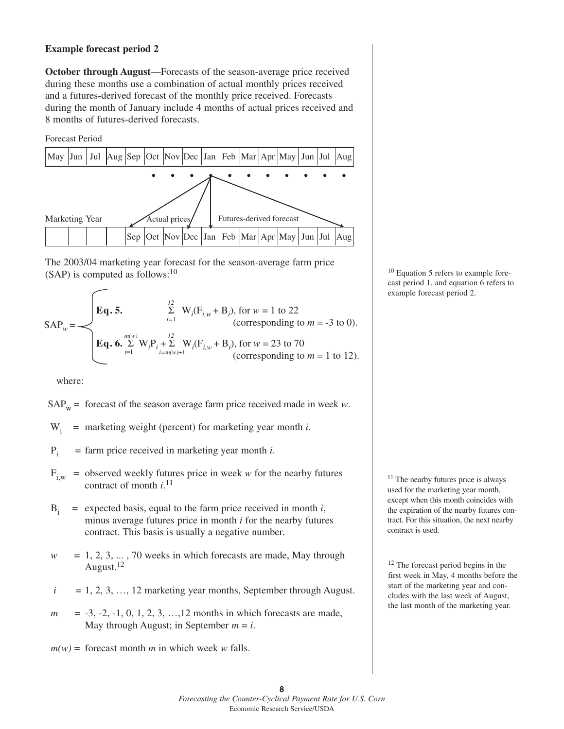#### **Example forecast period 2**

**October through August**—Forecasts of the season-average price received during these months use a combination of actual monthly prices received and a futures-derived forecast of the monthly price received. Forecasts during the month of January include 4 months of actual prices received and 8 months of futures-derived forecasts.





The 2003/04 marketing year forecast for the season-average farm price  $(SAP)$  is computed as follows:<sup>10</sup>

$$
SAP_w = \begin{cases} \mathbf{Eq. 5.} & \sum_{i=1}^{12} \mathbf{W}_i(\mathbf{F}_{i,w} + \mathbf{B}_i), \text{ for } w = 1 \text{ to } 22 \\ \text{(corresponding to } m = -3 \text{ to } 0). \\ \mathbf{Eq. 6.} & \sum_{i=1}^{m(w)} \mathbf{W}_i \mathbf{P}_i + \sum_{i=m(w)+1}^{12} \mathbf{W}_i(\mathbf{F}_{i,w} + \mathbf{B}_i), \text{ for } w = 23 \text{ to } 70 \\ \text{(corresponding to } m = 1 \text{ to } 12). \end{cases}
$$

where:

 $SAP_w$  = forecast of the season average farm price received made in week *w*.

- $W_i$  = marketing weight (percent) for marketing year month *i*.
- $P_i$  = farm price received in marketing year month *i*.
- $F_{i,w}$  = observed weekly futures price in week *w* for the nearby futures contract of month *i*. 11
- $B_i$  = expected basis, equal to the farm price received in month *i*, minus average futures price in month *i* for the nearby futures contract. This basis is usually a negative number.
- $w = 1, 2, 3, \dots, 70$  weeks in which forecasts are made, May through August.<sup>12</sup>
- $i = 1, 2, 3, \ldots, 12$  marketing year months, September through August.
- *m* = -3, -2, -1, 0, 1, 2, 3, ..., 12 months in which forecasts are made, May through August; in September  $m = i$ .
- $m(w)$  = forecast month *m* in which week *w* falls.

<sup>10</sup> Equation 5 refers to example forecast period 1, and equation 6 refers to example forecast period 2.

<sup>11</sup> The nearby futures price is always used for the marketing year month, except when this month coincides with the expiration of the nearby futures contract. For this situation, the next nearby contract is used.

<sup>12</sup> The forecast period begins in the first week in May, 4 months before the start of the marketing year and concludes with the last week of August, the last month of the marketing year.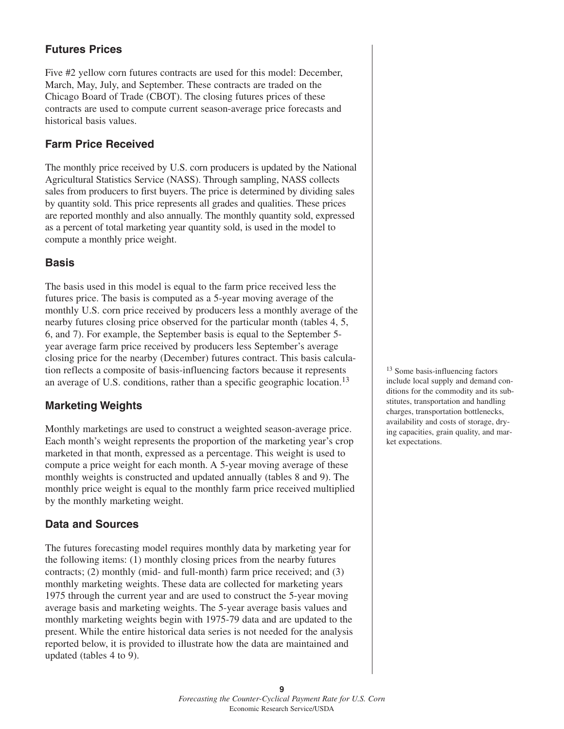## **Futures Prices**

Five #2 yellow corn futures contracts are used for this model: December, March, May, July, and September. These contracts are traded on the Chicago Board of Trade (CBOT). The closing futures prices of these contracts are used to compute current season-average price forecasts and historical basis values.

## **Farm Price Received**

The monthly price received by U.S. corn producers is updated by the National Agricultural Statistics Service (NASS). Through sampling, NASS collects sales from producers to first buyers. The price is determined by dividing sales by quantity sold. This price represents all grades and qualities. These prices are reported monthly and also annually. The monthly quantity sold, expressed as a percent of total marketing year quantity sold, is used in the model to compute a monthly price weight.

## **Basis**

The basis used in this model is equal to the farm price received less the futures price. The basis is computed as a 5-year moving average of the monthly U.S. corn price received by producers less a monthly average of the nearby futures closing price observed for the particular month (tables 4, 5, 6, and 7). For example, the September basis is equal to the September 5 year average farm price received by producers less September's average closing price for the nearby (December) futures contract. This basis calculation reflects a composite of basis-influencing factors because it represents an average of U.S. conditions, rather than a specific geographic location.<sup>13</sup>

## **Marketing Weights**

Monthly marketings are used to construct a weighted season-average price. Each month's weight represents the proportion of the marketing year's crop marketed in that month, expressed as a percentage. This weight is used to compute a price weight for each month. A 5-year moving average of these monthly weights is constructed and updated annually (tables 8 and 9). The monthly price weight is equal to the monthly farm price received multiplied by the monthly marketing weight.

## **Data and Sources**

The futures forecasting model requires monthly data by marketing year for the following items: (1) monthly closing prices from the nearby futures contracts; (2) monthly (mid- and full-month) farm price received; and (3) monthly marketing weights. These data are collected for marketing years 1975 through the current year and are used to construct the 5-year moving average basis and marketing weights. The 5-year average basis values and monthly marketing weights begin with 1975-79 data and are updated to the present. While the entire historical data series is not needed for the analysis reported below, it is provided to illustrate how the data are maintained and updated (tables 4 to 9).

<sup>13</sup> Some basis-influencing factors include local supply and demand conditions for the commodity and its substitutes, transportation and handling charges, transportation bottlenecks, availability and costs of storage, drying capacities, grain quality, and market expectations.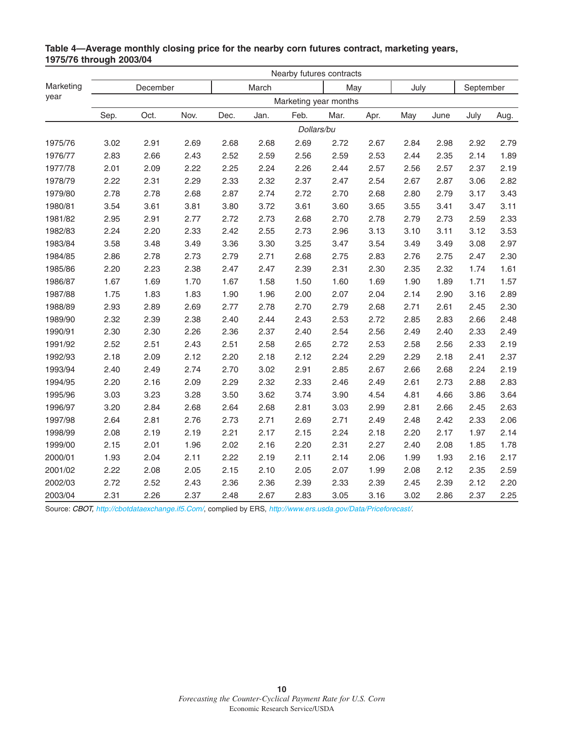|           |      |          |      | Nearby futures contracts |       |            |                       |      |      |      |           |      |
|-----------|------|----------|------|--------------------------|-------|------------|-----------------------|------|------|------|-----------|------|
| Marketing |      | December |      |                          | March |            | May                   |      | July |      | September |      |
| year      |      |          |      |                          |       |            | Marketing year months |      |      |      |           |      |
|           | Sep. | Oct.     | Nov. | Dec.                     | Jan.  | Feb.       | Mar.                  | Apr. | May  | June | July      | Aug. |
|           |      |          |      |                          |       | Dollars/bu |                       |      |      |      |           |      |
| 1975/76   | 3.02 | 2.91     | 2.69 | 2.68                     | 2.68  | 2.69       | 2.72                  | 2.67 | 2.84 | 2.98 | 2.92      | 2.79 |
| 1976/77   | 2.83 | 2.66     | 2.43 | 2.52                     | 2.59  | 2.56       | 2.59                  | 2.53 | 2.44 | 2.35 | 2.14      | 1.89 |
| 1977/78   | 2.01 | 2.09     | 2.22 | 2.25                     | 2.24  | 2.26       | 2.44                  | 2.57 | 2.56 | 2.57 | 2.37      | 2.19 |
| 1978/79   | 2.22 | 2.31     | 2.29 | 2.33                     | 2.32  | 2.37       | 2.47                  | 2.54 | 2.67 | 2.87 | 3.06      | 2.82 |
| 1979/80   | 2.78 | 2.78     | 2.68 | 2.87                     | 2.74  | 2.72       | 2.70                  | 2.68 | 2.80 | 2.79 | 3.17      | 3.43 |
| 1980/81   | 3.54 | 3.61     | 3.81 | 3.80                     | 3.72  | 3.61       | 3.60                  | 3.65 | 3.55 | 3.41 | 3.47      | 3.11 |
| 1981/82   | 2.95 | 2.91     | 2.77 | 2.72                     | 2.73  | 2.68       | 2.70                  | 2.78 | 2.79 | 2.73 | 2.59      | 2.33 |
| 1982/83   | 2.24 | 2.20     | 2.33 | 2.42                     | 2.55  | 2.73       | 2.96                  | 3.13 | 3.10 | 3.11 | 3.12      | 3.53 |
| 1983/84   | 3.58 | 3.48     | 3.49 | 3.36                     | 3.30  | 3.25       | 3.47                  | 3.54 | 3.49 | 3.49 | 3.08      | 2.97 |
| 1984/85   | 2.86 | 2.78     | 2.73 | 2.79                     | 2.71  | 2.68       | 2.75                  | 2.83 | 2.76 | 2.75 | 2.47      | 2.30 |
| 1985/86   | 2.20 | 2.23     | 2.38 | 2.47                     | 2.47  | 2.39       | 2.31                  | 2.30 | 2.35 | 2.32 | 1.74      | 1.61 |
| 1986/87   | 1.67 | 1.69     | 1.70 | 1.67                     | 1.58  | 1.50       | 1.60                  | 1.69 | 1.90 | 1.89 | 1.71      | 1.57 |
| 1987/88   | 1.75 | 1.83     | 1.83 | 1.90                     | 1.96  | 2.00       | 2.07                  | 2.04 | 2.14 | 2.90 | 3.16      | 2.89 |
| 1988/89   | 2.93 | 2.89     | 2.69 | 2.77                     | 2.78  | 2.70       | 2.79                  | 2.68 | 2.71 | 2.61 | 2.45      | 2.30 |
| 1989/90   | 2.32 | 2.39     | 2.38 | 2.40                     | 2.44  | 2.43       | 2.53                  | 2.72 | 2.85 | 2.83 | 2.66      | 2.48 |
| 1990/91   | 2.30 | 2.30     | 2.26 | 2.36                     | 2.37  | 2.40       | 2.54                  | 2.56 | 2.49 | 2.40 | 2.33      | 2.49 |
| 1991/92   | 2.52 | 2.51     | 2.43 | 2.51                     | 2.58  | 2.65       | 2.72                  | 2.53 | 2.58 | 2.56 | 2.33      | 2.19 |
| 1992/93   | 2.18 | 2.09     | 2.12 | 2.20                     | 2.18  | 2.12       | 2.24                  | 2.29 | 2.29 | 2.18 | 2.41      | 2.37 |
| 1993/94   | 2.40 | 2.49     | 2.74 | 2.70                     | 3.02  | 2.91       | 2.85                  | 2.67 | 2.66 | 2.68 | 2.24      | 2.19 |
| 1994/95   | 2.20 | 2.16     | 2.09 | 2.29                     | 2.32  | 2.33       | 2.46                  | 2.49 | 2.61 | 2.73 | 2.88      | 2.83 |
| 1995/96   | 3.03 | 3.23     | 3.28 | 3.50                     | 3.62  | 3.74       | 3.90                  | 4.54 | 4.81 | 4.66 | 3.86      | 3.64 |
| 1996/97   | 3.20 | 2.84     | 2.68 | 2.64                     | 2.68  | 2.81       | 3.03                  | 2.99 | 2.81 | 2.66 | 2.45      | 2.63 |
| 1997/98   | 2.64 | 2.81     | 2.76 | 2.73                     | 2.71  | 2.69       | 2.71                  | 2.49 | 2.48 | 2.42 | 2.33      | 2.06 |
| 1998/99   | 2.08 | 2.19     | 2.19 | 2.21                     | 2.17  | 2.15       | 2.24                  | 2.18 | 2.20 | 2.17 | 1.97      | 2.14 |
| 1999/00   | 2.15 | 2.01     | 1.96 | 2.02                     | 2.16  | 2.20       | 2.31                  | 2.27 | 2.40 | 2.08 | 1.85      | 1.78 |
| 2000/01   | 1.93 | 2.04     | 2.11 | 2.22                     | 2.19  | 2.11       | 2.14                  | 2.06 | 1.99 | 1.93 | 2.16      | 2.17 |
| 2001/02   | 2.22 | 2.08     | 2.05 | 2.15                     | 2.10  | 2.05       | 2.07                  | 1.99 | 2.08 | 2.12 | 2.35      | 2.59 |
| 2002/03   | 2.72 | 2.52     | 2.43 | 2.36                     | 2.36  | 2.39       | 2.33                  | 2.39 | 2.45 | 2.39 | 2.12      | 2.20 |
| 2003/04   | 2.31 | 2.26     | 2.37 | 2.48                     | 2.67  | 2.83       | 3.05                  | 3.16 | 3.02 | 2.86 | 2.37      | 2.25 |

## **Table 4—Average monthly closing price for the nearby corn futures contract, marketing years, 1975/76 through 2003/04**

Source: CBOT,<http://cbotdataexchange.if5.Com/>, complied by ERS, <http://www.ers.usda.gov/Data/Priceforecast/>.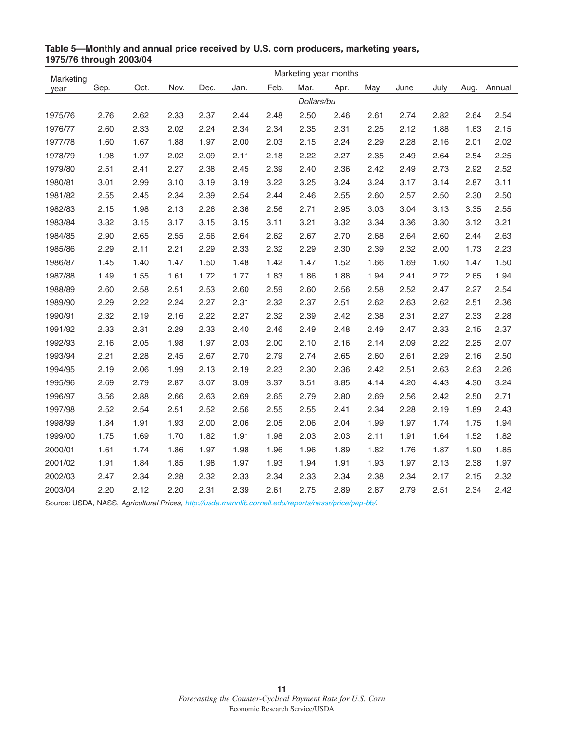| Marketing |      |      |      |      |      |      | Marketing year months |      |      |      |      |      |        |
|-----------|------|------|------|------|------|------|-----------------------|------|------|------|------|------|--------|
| year      | Sep. | Oct. | Nov. | Dec. | Jan. | Feb. | Mar.                  | Apr. | May  | June | July | Aug. | Annual |
|           |      |      |      |      |      |      | Dollars/bu            |      |      |      |      |      |        |
| 1975/76   | 2.76 | 2.62 | 2.33 | 2.37 | 2.44 | 2.48 | 2.50                  | 2.46 | 2.61 | 2.74 | 2.82 | 2.64 | 2.54   |
| 1976/77   | 2.60 | 2.33 | 2.02 | 2.24 | 2.34 | 2.34 | 2.35                  | 2.31 | 2.25 | 2.12 | 1.88 | 1.63 | 2.15   |
| 1977/78   | 1.60 | 1.67 | 1.88 | 1.97 | 2.00 | 2.03 | 2.15                  | 2.24 | 2.29 | 2.28 | 2.16 | 2.01 | 2.02   |
| 1978/79   | 1.98 | 1.97 | 2.02 | 2.09 | 2.11 | 2.18 | 2.22                  | 2.27 | 2.35 | 2.49 | 2.64 | 2.54 | 2.25   |
| 1979/80   | 2.51 | 2.41 | 2.27 | 2.38 | 2.45 | 2.39 | 2.40                  | 2.36 | 2.42 | 2.49 | 2.73 | 2.92 | 2.52   |
| 1980/81   | 3.01 | 2.99 | 3.10 | 3.19 | 3.19 | 3.22 | 3.25                  | 3.24 | 3.24 | 3.17 | 3.14 | 2.87 | 3.11   |
| 1981/82   | 2.55 | 2.45 | 2.34 | 2.39 | 2.54 | 2.44 | 2.46                  | 2.55 | 2.60 | 2.57 | 2.50 | 2.30 | 2.50   |
| 1982/83   | 2.15 | 1.98 | 2.13 | 2.26 | 2.36 | 2.56 | 2.71                  | 2.95 | 3.03 | 3.04 | 3.13 | 3.35 | 2.55   |
| 1983/84   | 3.32 | 3.15 | 3.17 | 3.15 | 3.15 | 3.11 | 3.21                  | 3.32 | 3.34 | 3.36 | 3.30 | 3.12 | 3.21   |
| 1984/85   | 2.90 | 2.65 | 2.55 | 2.56 | 2.64 | 2.62 | 2.67                  | 2.70 | 2.68 | 2.64 | 2.60 | 2.44 | 2.63   |
| 1985/86   | 2.29 | 2.11 | 2.21 | 2.29 | 2.33 | 2.32 | 2.29                  | 2.30 | 2.39 | 2.32 | 2.00 | 1.73 | 2.23   |
| 1986/87   | 1.45 | 1.40 | 1.47 | 1.50 | 1.48 | 1.42 | 1.47                  | 1.52 | 1.66 | 1.69 | 1.60 | 1.47 | 1.50   |
| 1987/88   | 1.49 | 1.55 | 1.61 | 1.72 | 1.77 | 1.83 | 1.86                  | 1.88 | 1.94 | 2.41 | 2.72 | 2.65 | 1.94   |
| 1988/89   | 2.60 | 2.58 | 2.51 | 2.53 | 2.60 | 2.59 | 2.60                  | 2.56 | 2.58 | 2.52 | 2.47 | 2.27 | 2.54   |
| 1989/90   | 2.29 | 2.22 | 2.24 | 2.27 | 2.31 | 2.32 | 2.37                  | 2.51 | 2.62 | 2.63 | 2.62 | 2.51 | 2.36   |
| 1990/91   | 2.32 | 2.19 | 2.16 | 2.22 | 2.27 | 2.32 | 2.39                  | 2.42 | 2.38 | 2.31 | 2.27 | 2.33 | 2.28   |
| 1991/92   | 2.33 | 2.31 | 2.29 | 2.33 | 2.40 | 2.46 | 2.49                  | 2.48 | 2.49 | 2.47 | 2.33 | 2.15 | 2.37   |
| 1992/93   | 2.16 | 2.05 | 1.98 | 1.97 | 2.03 | 2.00 | 2.10                  | 2.16 | 2.14 | 2.09 | 2.22 | 2.25 | 2.07   |
| 1993/94   | 2.21 | 2.28 | 2.45 | 2.67 | 2.70 | 2.79 | 2.74                  | 2.65 | 2.60 | 2.61 | 2.29 | 2.16 | 2.50   |
| 1994/95   | 2.19 | 2.06 | 1.99 | 2.13 | 2.19 | 2.23 | 2.30                  | 2.36 | 2.42 | 2.51 | 2.63 | 2.63 | 2.26   |
| 1995/96   | 2.69 | 2.79 | 2.87 | 3.07 | 3.09 | 3.37 | 3.51                  | 3.85 | 4.14 | 4.20 | 4.43 | 4.30 | 3.24   |
| 1996/97   | 3.56 | 2.88 | 2.66 | 2.63 | 2.69 | 2.65 | 2.79                  | 2.80 | 2.69 | 2.56 | 2.42 | 2.50 | 2.71   |
| 1997/98   | 2.52 | 2.54 | 2.51 | 2.52 | 2.56 | 2.55 | 2.55                  | 2.41 | 2.34 | 2.28 | 2.19 | 1.89 | 2.43   |
| 1998/99   | 1.84 | 1.91 | 1.93 | 2.00 | 2.06 | 2.05 | 2.06                  | 2.04 | 1.99 | 1.97 | 1.74 | 1.75 | 1.94   |
| 1999/00   | 1.75 | 1.69 | 1.70 | 1.82 | 1.91 | 1.98 | 2.03                  | 2.03 | 2.11 | 1.91 | 1.64 | 1.52 | 1.82   |
| 2000/01   | 1.61 | 1.74 | 1.86 | 1.97 | 1.98 | 1.96 | 1.96                  | 1.89 | 1.82 | 1.76 | 1.87 | 1.90 | 1.85   |
| 2001/02   | 1.91 | 1.84 | 1.85 | 1.98 | 1.97 | 1.93 | 1.94                  | 1.91 | 1.93 | 1.97 | 2.13 | 2.38 | 1.97   |
| 2002/03   | 2.47 | 2.34 | 2.28 | 2.32 | 2.33 | 2.34 | 2.33                  | 2.34 | 2.38 | 2.34 | 2.17 | 2.15 | 2.32   |
| 2003/04   | 2.20 | 2.12 | 2.20 | 2.31 | 2.39 | 2.61 | 2.75                  | 2.89 | 2.87 | 2.79 | 2.51 | 2.34 | 2.42   |

## **Table 5—Monthly and annual price received by U.S. corn producers, marketing years, 1975/76 through 2003/04**

Source: USDA, NASS, Agricultural Prices, [http://usda.mannlib.cornell.edu/reports/nassr/price/pap-bb/.](http://usda.mannlib.cornell.edu/reports/nassr/price/pap-bb/)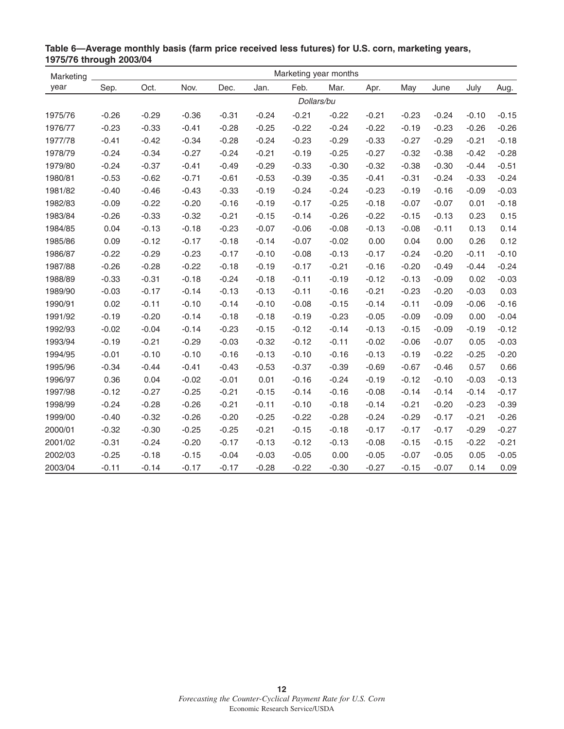| Marketing | Marketing year months |         |         |         |         |            |         |         |         |         |         |         |
|-----------|-----------------------|---------|---------|---------|---------|------------|---------|---------|---------|---------|---------|---------|
| year      | Sep.                  | Oct.    | Nov.    | Dec.    | Jan.    | Feb.       | Mar.    | Apr.    | May     | June    | July    | Aug.    |
|           |                       |         |         |         |         | Dollars/bu |         |         |         |         |         |         |
| 1975/76   | $-0.26$               | $-0.29$ | $-0.36$ | $-0.31$ | $-0.24$ | $-0.21$    | $-0.22$ | $-0.21$ | $-0.23$ | $-0.24$ | $-0.10$ | $-0.15$ |
| 1976/77   | $-0.23$               | $-0.33$ | $-0.41$ | $-0.28$ | $-0.25$ | $-0.22$    | $-0.24$ | $-0.22$ | $-0.19$ | $-0.23$ | $-0.26$ | $-0.26$ |
| 1977/78   | $-0.41$               | $-0.42$ | $-0.34$ | $-0.28$ | $-0.24$ | $-0.23$    | $-0.29$ | $-0.33$ | $-0.27$ | $-0.29$ | $-0.21$ | $-0.18$ |
| 1978/79   | $-0.24$               | $-0.34$ | $-0.27$ | $-0.24$ | $-0.21$ | $-0.19$    | $-0.25$ | $-0.27$ | $-0.32$ | $-0.38$ | $-0.42$ | $-0.28$ |
| 1979/80   | $-0.24$               | $-0.37$ | $-0.41$ | $-0.49$ | $-0.29$ | $-0.33$    | $-0.30$ | $-0.32$ | $-0.38$ | $-0.30$ | $-0.44$ | $-0.51$ |
| 1980/81   | $-0.53$               | $-0.62$ | $-0.71$ | $-0.61$ | $-0.53$ | $-0.39$    | $-0.35$ | $-0.41$ | $-0.31$ | $-0.24$ | $-0.33$ | $-0.24$ |
| 1981/82   | $-0.40$               | $-0.46$ | $-0.43$ | $-0.33$ | $-0.19$ | $-0.24$    | $-0.24$ | $-0.23$ | $-0.19$ | $-0.16$ | $-0.09$ | $-0.03$ |
| 1982/83   | $-0.09$               | $-0.22$ | $-0.20$ | $-0.16$ | $-0.19$ | $-0.17$    | $-0.25$ | $-0.18$ | $-0.07$ | $-0.07$ | 0.01    | $-0.18$ |
| 1983/84   | $-0.26$               | $-0.33$ | $-0.32$ | $-0.21$ | $-0.15$ | $-0.14$    | $-0.26$ | $-0.22$ | $-0.15$ | $-0.13$ | 0.23    | 0.15    |
| 1984/85   | 0.04                  | $-0.13$ | $-0.18$ | $-0.23$ | $-0.07$ | $-0.06$    | $-0.08$ | $-0.13$ | $-0.08$ | $-0.11$ | 0.13    | 0.14    |
| 1985/86   | 0.09                  | $-0.12$ | $-0.17$ | $-0.18$ | $-0.14$ | $-0.07$    | $-0.02$ | 0.00    | 0.04    | 0.00    | 0.26    | 0.12    |
| 1986/87   | $-0.22$               | $-0.29$ | $-0.23$ | $-0.17$ | $-0.10$ | $-0.08$    | $-0.13$ | $-0.17$ | $-0.24$ | $-0.20$ | $-0.11$ | $-0.10$ |
| 1987/88   | $-0.26$               | $-0.28$ | $-0.22$ | $-0.18$ | $-0.19$ | $-0.17$    | $-0.21$ | $-0.16$ | $-0.20$ | $-0.49$ | $-0.44$ | $-0.24$ |
| 1988/89   | $-0.33$               | $-0.31$ | $-0.18$ | $-0.24$ | $-0.18$ | $-0.11$    | $-0.19$ | $-0.12$ | $-0.13$ | $-0.09$ | 0.02    | $-0.03$ |
| 1989/90   | $-0.03$               | $-0.17$ | $-0.14$ | $-0.13$ | $-0.13$ | $-0.11$    | $-0.16$ | $-0.21$ | $-0.23$ | $-0.20$ | $-0.03$ | 0.03    |
| 1990/91   | 0.02                  | $-0.11$ | $-0.10$ | $-0.14$ | $-0.10$ | $-0.08$    | $-0.15$ | $-0.14$ | $-0.11$ | $-0.09$ | $-0.06$ | $-0.16$ |
| 1991/92   | $-0.19$               | $-0.20$ | $-0.14$ | $-0.18$ | $-0.18$ | $-0.19$    | $-0.23$ | $-0.05$ | $-0.09$ | $-0.09$ | 0.00    | $-0.04$ |
| 1992/93   | $-0.02$               | $-0.04$ | $-0.14$ | $-0.23$ | $-0.15$ | $-0.12$    | $-0.14$ | $-0.13$ | $-0.15$ | $-0.09$ | $-0.19$ | $-0.12$ |
| 1993/94   | $-0.19$               | $-0.21$ | $-0.29$ | $-0.03$ | $-0.32$ | $-0.12$    | $-0.11$ | $-0.02$ | $-0.06$ | $-0.07$ | 0.05    | $-0.03$ |
| 1994/95   | $-0.01$               | $-0.10$ | $-0.10$ | $-0.16$ | $-0.13$ | $-0.10$    | $-0.16$ | $-0.13$ | $-0.19$ | $-0.22$ | $-0.25$ | $-0.20$ |
| 1995/96   | $-0.34$               | $-0.44$ | $-0.41$ | $-0.43$ | $-0.53$ | $-0.37$    | $-0.39$ | $-0.69$ | $-0.67$ | $-0.46$ | 0.57    | 0.66    |
| 1996/97   | 0.36                  | 0.04    | $-0.02$ | $-0.01$ | 0.01    | $-0.16$    | $-0.24$ | $-0.19$ | $-0.12$ | $-0.10$ | $-0.03$ | $-0.13$ |
| 1997/98   | $-0.12$               | $-0.27$ | $-0.25$ | $-0.21$ | $-0.15$ | $-0.14$    | $-0.16$ | $-0.08$ | $-0.14$ | $-0.14$ | $-0.14$ | $-0.17$ |
| 1998/99   | $-0.24$               | $-0.28$ | $-0.26$ | $-0.21$ | $-0.11$ | $-0.10$    | $-0.18$ | $-0.14$ | $-0.21$ | $-0.20$ | $-0.23$ | $-0.39$ |
| 1999/00   | $-0.40$               | $-0.32$ | $-0.26$ | $-0.20$ | $-0.25$ | $-0.22$    | $-0.28$ | $-0.24$ | $-0.29$ | $-0.17$ | $-0.21$ | $-0.26$ |
| 2000/01   | $-0.32$               | $-0.30$ | $-0.25$ | $-0.25$ | $-0.21$ | $-0.15$    | $-0.18$ | $-0.17$ | $-0.17$ | $-0.17$ | $-0.29$ | $-0.27$ |
| 2001/02   | $-0.31$               | $-0.24$ | $-0.20$ | $-0.17$ | $-0.13$ | $-0.12$    | $-0.13$ | $-0.08$ | $-0.15$ | $-0.15$ | $-0.22$ | $-0.21$ |
| 2002/03   | $-0.25$               | $-0.18$ | $-0.15$ | $-0.04$ | $-0.03$ | $-0.05$    | 0.00    | $-0.05$ | $-0.07$ | $-0.05$ | 0.05    | $-0.05$ |
| 2003/04   | $-0.11$               | $-0.14$ | $-0.17$ | $-0.17$ | $-0.28$ | $-0.22$    | $-0.30$ | $-0.27$ | $-0.15$ | $-0.07$ | 0.14    | 0.09    |

**Table 6—Average monthly basis (farm price received less futures) for U.S. corn, marketing years, 1975/76 through 2003/04**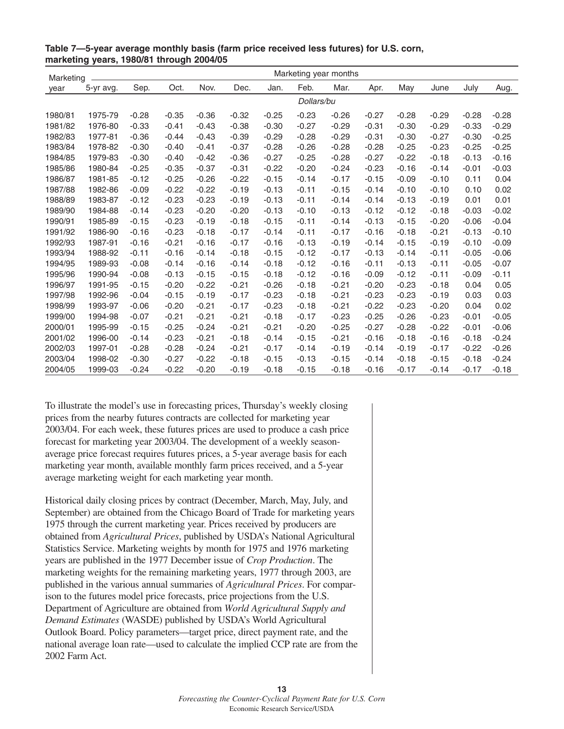| Marketing |           |         |         |         |         |         |            | Marketing year months |         |         |         |         |         |
|-----------|-----------|---------|---------|---------|---------|---------|------------|-----------------------|---------|---------|---------|---------|---------|
| year      | 5-yr avg. | Sep.    | Oct.    | Nov.    | Dec.    | Jan.    | Feb.       | Mar.                  | Apr.    | May     | June    | July    | Aug.    |
|           |           |         |         |         |         |         | Dollars/bu |                       |         |         |         |         |         |
| 1980/81   | 1975-79   | $-0.28$ | $-0.35$ | $-0.36$ | $-0.32$ | $-0.25$ | $-0.23$    | $-0.26$               | $-0.27$ | $-0.28$ | $-0.29$ | $-0.28$ | $-0.28$ |
| 1981/82   | 1976-80   | $-0.33$ | $-0.41$ | $-0.43$ | $-0.38$ | $-0.30$ | $-0.27$    | $-0.29$               | $-0.31$ | $-0.30$ | $-0.29$ | $-0.33$ | $-0.29$ |
| 1982/83   | 1977-81   | $-0.36$ | $-0.44$ | $-0.43$ | $-0.39$ | $-0.29$ | $-0.28$    | $-0.29$               | $-0.31$ | $-0.30$ | $-0.27$ | $-0.30$ | $-0.25$ |
| 1983/84   | 1978-82   | $-0.30$ | $-0.40$ | $-0.41$ | $-0.37$ | $-0.28$ | $-0.26$    | $-0.28$               | $-0.28$ | $-0.25$ | $-0.23$ | $-0.25$ | $-0.25$ |
| 1984/85   | 1979-83   | $-0.30$ | $-0.40$ | $-0.42$ | $-0.36$ | $-0.27$ | $-0.25$    | $-0.28$               | $-0.27$ | $-0.22$ | $-0.18$ | $-0.13$ | $-0.16$ |
| 1985/86   | 1980-84   | $-0.25$ | $-0.35$ | $-0.37$ | $-0.31$ | $-0.22$ | $-0.20$    | $-0.24$               | $-0.23$ | $-0.16$ | $-0.14$ | $-0.01$ | $-0.03$ |
| 1986/87   | 1981-85   | $-0.12$ | $-0.25$ | $-0.26$ | $-0.22$ | $-0.15$ | $-0.14$    | $-0.17$               | $-0.15$ | $-0.09$ | $-0.10$ | 0.11    | 0.04    |
| 1987/88   | 1982-86   | $-0.09$ | $-0.22$ | $-0.22$ | $-0.19$ | $-0.13$ | $-0.11$    | $-0.15$               | $-0.14$ | $-0.10$ | $-0.10$ | 0.10    | 0.02    |
| 1988/89   | 1983-87   | $-0.12$ | $-0.23$ | $-0.23$ | $-0.19$ | $-0.13$ | $-0.11$    | $-0.14$               | $-0.14$ | $-0.13$ | $-0.19$ | 0.01    | 0.01    |
| 1989/90   | 1984-88   | $-0.14$ | $-0.23$ | $-0.20$ | $-0.20$ | $-0.13$ | $-0.10$    | $-0.13$               | $-0.12$ | $-0.12$ | $-0.18$ | $-0.03$ | $-0.02$ |
| 1990/91   | 1985-89   | $-0.15$ | $-0.23$ | $-0.19$ | $-0.18$ | $-0.15$ | $-0.11$    | $-0.14$               | $-0.13$ | $-0.15$ | $-0.20$ | $-0.06$ | $-0.04$ |
| 1991/92   | 1986-90   | $-0.16$ | $-0.23$ | $-0.18$ | $-0.17$ | $-0.14$ | $-0.11$    | $-0.17$               | $-0.16$ | $-0.18$ | $-0.21$ | $-0.13$ | $-0.10$ |
| 1992/93   | 1987-91   | $-0.16$ | $-0.21$ | $-0.16$ | $-0.17$ | $-0.16$ | $-0.13$    | $-0.19$               | $-0.14$ | $-0.15$ | $-0.19$ | $-0.10$ | $-0.09$ |
| 1993/94   | 1988-92   | $-0.11$ | $-0.16$ | $-0.14$ | $-0.18$ | $-0.15$ | $-0.12$    | $-0.17$               | $-0.13$ | $-0.14$ | $-0.11$ | $-0.05$ | $-0.06$ |
| 1994/95   | 1989-93   | $-0.08$ | $-0.14$ | $-0.16$ | $-0.14$ | $-0.18$ | $-0.12$    | $-0.16$               | $-0.11$ | $-0.13$ | $-0.11$ | $-0.05$ | $-0.07$ |
| 1995/96   | 1990-94   | $-0.08$ | $-0.13$ | $-0.15$ | $-0.15$ | $-0.18$ | $-0.12$    | $-0.16$               | $-0.09$ | $-0.12$ | $-0.11$ | $-0.09$ | $-0.11$ |
| 1996/97   | 1991-95   | $-0.15$ | $-0.20$ | $-0.22$ | $-0.21$ | $-0.26$ | $-0.18$    | $-0.21$               | $-0.20$ | $-0.23$ | $-0.18$ | 0.04    | 0.05    |
| 1997/98   | 1992-96   | $-0.04$ | $-0.15$ | $-0.19$ | $-0.17$ | $-0.23$ | $-0.18$    | $-0.21$               | $-0.23$ | $-0.23$ | $-0.19$ | 0.03    | 0.03    |
| 1998/99   | 1993-97   | $-0.06$ | $-0.20$ | $-0.21$ | $-0.17$ | $-0.23$ | $-0.18$    | $-0.21$               | $-0.22$ | $-0.23$ | $-0.20$ | 0.04    | 0.02    |
| 1999/00   | 1994-98   | $-0.07$ | $-0.21$ | $-0.21$ | $-0.21$ | $-0.18$ | $-0.17$    | $-0.23$               | $-0.25$ | $-0.26$ | $-0.23$ | $-0.01$ | $-0.05$ |
| 2000/01   | 1995-99   | $-0.15$ | $-0.25$ | $-0.24$ | $-0.21$ | $-0.21$ | $-0.20$    | $-0.25$               | $-0.27$ | $-0.28$ | $-0.22$ | $-0.01$ | $-0.06$ |
| 2001/02   | 1996-00   | $-0.14$ | $-0.23$ | $-0.21$ | $-0.18$ | $-0.14$ | $-0.15$    | $-0.21$               | $-0.16$ | $-0.18$ | $-0.16$ | $-0.18$ | $-0.24$ |
| 2002/03   | 1997-01   | $-0.28$ | $-0.28$ | $-0.24$ | $-0.21$ | $-0.17$ | $-0.14$    | $-0.19$               | $-0.14$ | $-0.19$ | $-0.17$ | $-0.22$ | $-0.26$ |
| 2003/04   | 1998-02   | $-0.30$ | $-0.27$ | $-0.22$ | $-0.18$ | $-0.15$ | $-0.13$    | $-0.15$               | $-0.14$ | $-0.18$ | $-0.15$ | $-0.18$ | $-0.24$ |
| 2004/05   | 1999-03   | $-0.24$ | $-0.22$ | $-0.20$ | $-0.19$ | $-0.18$ | $-0.15$    | $-0.18$               | $-0.16$ | $-0.17$ | $-0.14$ | $-0.17$ | $-0.18$ |

**Table 7—5-year average monthly basis (farm price received less futures) for U.S. corn, marketing years, 1980/81 through 2004/05**

To illustrate the model's use in forecasting prices, Thursday's weekly closing prices from the nearby futures contracts are collected for marketing year 2003/04. For each week, these futures prices are used to produce a cash price forecast for marketing year 2003/04. The development of a weekly seasonaverage price forecast requires futures prices, a 5-year average basis for each marketing year month, available monthly farm prices received, and a 5-year average marketing weight for each marketing year month.

Historical daily closing prices by contract (December, March, May, July, and September) are obtained from the Chicago Board of Trade for marketing years 1975 through the current marketing year. Prices received by producers are obtained from *Agricultural Prices*, published by USDA's National Agricultural Statistics Service. Marketing weights by month for 1975 and 1976 marketing years are published in the 1977 December issue of *Crop Production*. The marketing weights for the remaining marketing years, 1977 through 2003, are published in the various annual summaries of *Agricultural Prices*. For comparison to the futures model price forecasts, price projections from the U.S. Department of Agriculture are obtained from *World Agricultural Supply and Demand Estimates* (WASDE) published by USDA's World Agricultural Outlook Board. Policy parameters—target price, direct payment rate, and the national average loan rate—used to calculate the implied CCP rate are from the 2002 Farm Act.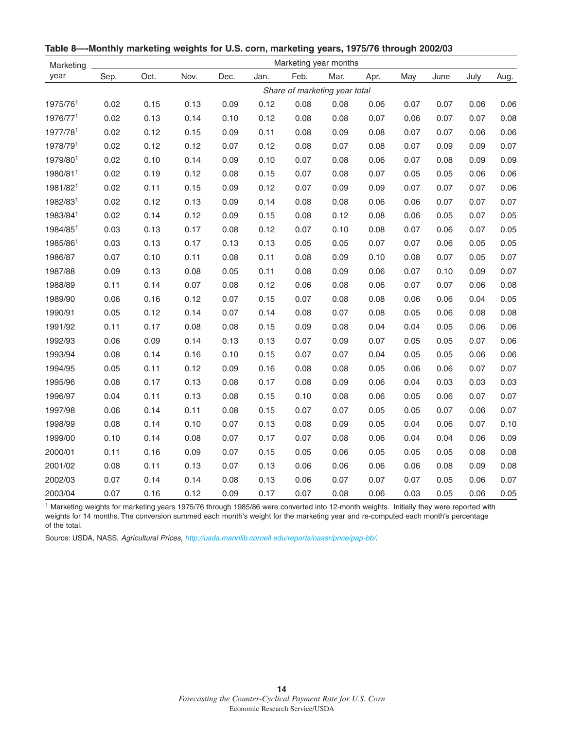| Marketing | Marketing year months |      |      |      |      |      |                               |      |      |      |      |      |
|-----------|-----------------------|------|------|------|------|------|-------------------------------|------|------|------|------|------|
| year      | Sep.                  | Oct. | Nov. | Dec. | Jan. | Feb. | Mar.                          | Apr. | May  | June | July | Aug. |
|           |                       |      |      |      |      |      | Share of marketing year total |      |      |      |      |      |
| 1975/761  | 0.02                  | 0.15 | 0.13 | 0.09 | 0.12 | 0.08 | 0.08                          | 0.06 | 0.07 | 0.07 | 0.06 | 0.06 |
| 1976/771  | 0.02                  | 0.13 | 0.14 | 0.10 | 0.12 | 0.08 | 0.08                          | 0.07 | 0.06 | 0.07 | 0.07 | 0.08 |
| 1977/781  | 0.02                  | 0.12 | 0.15 | 0.09 | 0.11 | 0.08 | 0.09                          | 0.08 | 0.07 | 0.07 | 0.06 | 0.06 |
| 1978/791  | 0.02                  | 0.12 | 0.12 | 0.07 | 0.12 | 0.08 | 0.07                          | 0.08 | 0.07 | 0.09 | 0.09 | 0.07 |
| 1979/801  | 0.02                  | 0.10 | 0.14 | 0.09 | 0.10 | 0.07 | 0.08                          | 0.06 | 0.07 | 0.08 | 0.09 | 0.09 |
| 1980/811  | 0.02                  | 0.19 | 0.12 | 0.08 | 0.15 | 0.07 | 0.08                          | 0.07 | 0.05 | 0.05 | 0.06 | 0.06 |
| 1981/821  | 0.02                  | 0.11 | 0.15 | 0.09 | 0.12 | 0.07 | 0.09                          | 0.09 | 0.07 | 0.07 | 0.07 | 0.06 |
| 1982/831  | 0.02                  | 0.12 | 0.13 | 0.09 | 0.14 | 0.08 | 0.08                          | 0.06 | 0.06 | 0.07 | 0.07 | 0.07 |
| 1983/841  | 0.02                  | 0.14 | 0.12 | 0.09 | 0.15 | 0.08 | 0.12                          | 0.08 | 0.06 | 0.05 | 0.07 | 0.05 |
| 1984/851  | 0.03                  | 0.13 | 0.17 | 0.08 | 0.12 | 0.07 | 0.10                          | 0.08 | 0.07 | 0.06 | 0.07 | 0.05 |
| 1985/861  | 0.03                  | 0.13 | 0.17 | 0.13 | 0.13 | 0.05 | 0.05                          | 0.07 | 0.07 | 0.06 | 0.05 | 0.05 |
| 1986/87   | 0.07                  | 0.10 | 0.11 | 0.08 | 0.11 | 0.08 | 0.09                          | 0.10 | 0.08 | 0.07 | 0.05 | 0.07 |
| 1987/88   | 0.09                  | 0.13 | 0.08 | 0.05 | 0.11 | 0.08 | 0.09                          | 0.06 | 0.07 | 0.10 | 0.09 | 0.07 |
| 1988/89   | 0.11                  | 0.14 | 0.07 | 0.08 | 0.12 | 0.06 | 0.08                          | 0.06 | 0.07 | 0.07 | 0.06 | 0.08 |
| 1989/90   | 0.06                  | 0.16 | 0.12 | 0.07 | 0.15 | 0.07 | 0.08                          | 0.08 | 0.06 | 0.06 | 0.04 | 0.05 |
| 1990/91   | 0.05                  | 0.12 | 0.14 | 0.07 | 0.14 | 0.08 | 0.07                          | 0.08 | 0.05 | 0.06 | 0.08 | 0.08 |
| 1991/92   | 0.11                  | 0.17 | 0.08 | 0.08 | 0.15 | 0.09 | 0.08                          | 0.04 | 0.04 | 0.05 | 0.06 | 0.06 |
| 1992/93   | 0.06                  | 0.09 | 0.14 | 0.13 | 0.13 | 0.07 | 0.09                          | 0.07 | 0.05 | 0.05 | 0.07 | 0.06 |
| 1993/94   | 0.08                  | 0.14 | 0.16 | 0.10 | 0.15 | 0.07 | 0.07                          | 0.04 | 0.05 | 0.05 | 0.06 | 0.06 |
| 1994/95   | 0.05                  | 0.11 | 0.12 | 0.09 | 0.16 | 0.08 | 0.08                          | 0.05 | 0.06 | 0.06 | 0.07 | 0.07 |
| 1995/96   | 0.08                  | 0.17 | 0.13 | 0.08 | 0.17 | 0.08 | 0.09                          | 0.06 | 0.04 | 0.03 | 0.03 | 0.03 |
| 1996/97   | 0.04                  | 0.11 | 0.13 | 0.08 | 0.15 | 0.10 | 0.08                          | 0.06 | 0.05 | 0.06 | 0.07 | 0.07 |
| 1997/98   | 0.06                  | 0.14 | 0.11 | 0.08 | 0.15 | 0.07 | 0.07                          | 0.05 | 0.05 | 0.07 | 0.06 | 0.07 |
| 1998/99   | 0.08                  | 0.14 | 0.10 | 0.07 | 0.13 | 0.08 | 0.09                          | 0.05 | 0.04 | 0.06 | 0.07 | 0.10 |
| 1999/00   | 0.10                  | 0.14 | 0.08 | 0.07 | 0.17 | 0.07 | 0.08                          | 0.06 | 0.04 | 0.04 | 0.06 | 0.09 |
| 2000/01   | 0.11                  | 0.16 | 0.09 | 0.07 | 0.15 | 0.05 | 0.06                          | 0.05 | 0.05 | 0.05 | 0.08 | 0.08 |
| 2001/02   | 0.08                  | 0.11 | 0.13 | 0.07 | 0.13 | 0.06 | 0.06                          | 0.06 | 0.06 | 0.08 | 0.09 | 0.08 |
| 2002/03   | 0.07                  | 0.14 | 0.14 | 0.08 | 0.13 | 0.06 | 0.07                          | 0.07 | 0.07 | 0.05 | 0.06 | 0.07 |
| 2003/04   | 0.07                  | 0.16 | 0.12 | 0.09 | 0.17 | 0.07 | 0.08                          | 0.06 | 0.03 | 0.05 | 0.06 | 0.05 |

**Table 8—-Monthly marketing weights for U.S. corn, marketing years, 1975/76 through 2002/03**

<sup>1</sup> Marketing weights for marketing years 1975/76 through 1985/86 were converted into 12-month weights. Initially they were reported with weights for 14 months. The conversion summed each month's weight for the marketing year and re-computed each month's percentage of the total.

Source: USDA, NASS, Agricultural Prices, <http://usda.mannlib.cornell.edu/reports/nassr/price/pap-bb/>.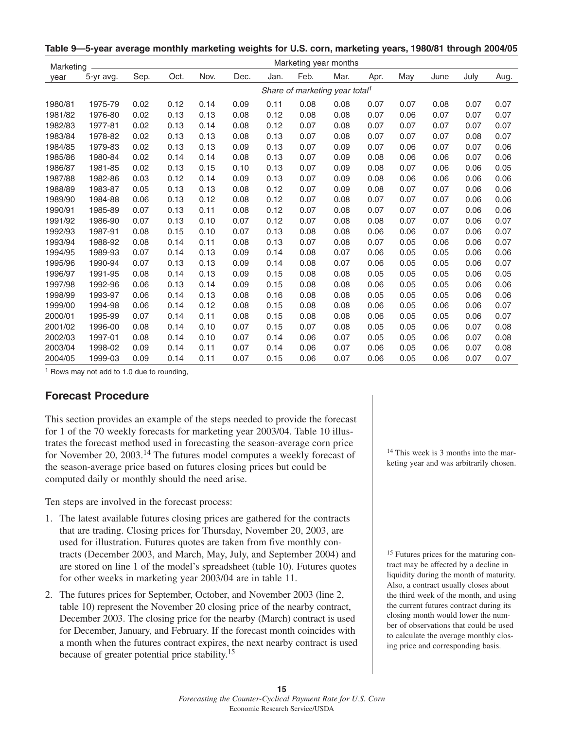**Table 9—5-year average monthly marketing weights for U.S. corn, marketing years, 1980/81 through 2004/05**

| Marketing |           |      |      |      |      |      |      | Marketing year months                      |      |      |      |      |      |
|-----------|-----------|------|------|------|------|------|------|--------------------------------------------|------|------|------|------|------|
| year      | 5-yr avg. | Sep. | Oct. | Nov. | Dec. | Jan. | Feb. | Mar.                                       | Apr. | May  | June | July | Aug. |
|           |           |      |      |      |      |      |      | Share of marketing year total <sup>1</sup> |      |      |      |      |      |
| 1980/81   | 1975-79   | 0.02 | 0.12 | 0.14 | 0.09 | 0.11 | 0.08 | 0.08                                       | 0.07 | 0.07 | 0.08 | 0.07 | 0.07 |
| 1981/82   | 1976-80   | 0.02 | 0.13 | 0.13 | 0.08 | 0.12 | 0.08 | 0.08                                       | 0.07 | 0.06 | 0.07 | 0.07 | 0.07 |
| 1982/83   | 1977-81   | 0.02 | 0.13 | 0.14 | 0.08 | 0.12 | 0.07 | 0.08                                       | 0.07 | 0.07 | 0.07 | 0.07 | 0.07 |
| 1983/84   | 1978-82   | 0.02 | 0.13 | 0.13 | 0.08 | 0.13 | 0.07 | 0.08                                       | 0.07 | 0.07 | 0.07 | 0.08 | 0.07 |
| 1984/85   | 1979-83   | 0.02 | 0.13 | 0.13 | 0.09 | 0.13 | 0.07 | 0.09                                       | 0.07 | 0.06 | 0.07 | 0.07 | 0.06 |
| 1985/86   | 1980-84   | 0.02 | 0.14 | 0.14 | 0.08 | 0.13 | 0.07 | 0.09                                       | 0.08 | 0.06 | 0.06 | 0.07 | 0.06 |
| 1986/87   | 1981-85   | 0.02 | 0.13 | 0.15 | 0.10 | 0.13 | 0.07 | 0.09                                       | 0.08 | 0.07 | 0.06 | 0.06 | 0.05 |
| 1987/88   | 1982-86   | 0.03 | 0.12 | 0.14 | 0.09 | 0.13 | 0.07 | 0.09                                       | 0.08 | 0.06 | 0.06 | 0.06 | 0.06 |
| 1988/89   | 1983-87   | 0.05 | 0.13 | 0.13 | 0.08 | 0.12 | 0.07 | 0.09                                       | 0.08 | 0.07 | 0.07 | 0.06 | 0.06 |
| 1989/90   | 1984-88   | 0.06 | 0.13 | 0.12 | 0.08 | 0.12 | 0.07 | 0.08                                       | 0.07 | 0.07 | 0.07 | 0.06 | 0.06 |
| 1990/91   | 1985-89   | 0.07 | 0.13 | 0.11 | 0.08 | 0.12 | 0.07 | 0.08                                       | 0.07 | 0.07 | 0.07 | 0.06 | 0.06 |
| 1991/92   | 1986-90   | 0.07 | 0.13 | 0.10 | 0.07 | 0.12 | 0.07 | 0.08                                       | 0.08 | 0.07 | 0.07 | 0.06 | 0.07 |
| 1992/93   | 1987-91   | 0.08 | 0.15 | 0.10 | 0.07 | 0.13 | 0.08 | 0.08                                       | 0.06 | 0.06 | 0.07 | 0.06 | 0.07 |
| 1993/94   | 1988-92   | 0.08 | 0.14 | 0.11 | 0.08 | 0.13 | 0.07 | 0.08                                       | 0.07 | 0.05 | 0.06 | 0.06 | 0.07 |
| 1994/95   | 1989-93   | 0.07 | 0.14 | 0.13 | 0.09 | 0.14 | 0.08 | 0.07                                       | 0.06 | 0.05 | 0.05 | 0.06 | 0.06 |
| 1995/96   | 1990-94   | 0.07 | 0.13 | 0.13 | 0.09 | 0.14 | 0.08 | 0.07                                       | 0.06 | 0.05 | 0.05 | 0.06 | 0.07 |
| 1996/97   | 1991-95   | 0.08 | 0.14 | 0.13 | 0.09 | 0.15 | 0.08 | 0.08                                       | 0.05 | 0.05 | 0.05 | 0.06 | 0.05 |
| 1997/98   | 1992-96   | 0.06 | 0.13 | 0.14 | 0.09 | 0.15 | 0.08 | 0.08                                       | 0.06 | 0.05 | 0.05 | 0.06 | 0.06 |
| 1998/99   | 1993-97   | 0.06 | 0.14 | 0.13 | 0.08 | 0.16 | 0.08 | 0.08                                       | 0.05 | 0.05 | 0.05 | 0.06 | 0.06 |
| 1999/00   | 1994-98   | 0.06 | 0.14 | 0.12 | 0.08 | 0.15 | 0.08 | 0.08                                       | 0.06 | 0.05 | 0.06 | 0.06 | 0.07 |
| 2000/01   | 1995-99   | 0.07 | 0.14 | 0.11 | 0.08 | 0.15 | 0.08 | 0.08                                       | 0.06 | 0.05 | 0.05 | 0.06 | 0.07 |
| 2001/02   | 1996-00   | 0.08 | 0.14 | 0.10 | 0.07 | 0.15 | 0.07 | 0.08                                       | 0.05 | 0.05 | 0.06 | 0.07 | 0.08 |
| 2002/03   | 1997-01   | 0.08 | 0.14 | 0.10 | 0.07 | 0.14 | 0.06 | 0.07                                       | 0.05 | 0.05 | 0.06 | 0.07 | 0.08 |
| 2003/04   | 1998-02   | 0.09 | 0.14 | 0.11 | 0.07 | 0.14 | 0.06 | 0.07                                       | 0.06 | 0.05 | 0.06 | 0.07 | 0.08 |
| 2004/05   | 1999-03   | 0.09 | 0.14 | 0.11 | 0.07 | 0.15 | 0.06 | 0.07                                       | 0.06 | 0.05 | 0.06 | 0.07 | 0.07 |

<sup>1</sup> Rows may not add to 1.0 due to rounding,

## **Forecast Procedure**

This section provides an example of the steps needed to provide the forecast for 1 of the 70 weekly forecasts for marketing year 2003/04. Table 10 illustrates the forecast method used in forecasting the season-average corn price for November 20, 2003.<sup>14</sup> The futures model computes a weekly forecast of the season-average price based on futures closing prices but could be computed daily or monthly should the need arise.

Ten steps are involved in the forecast process:

- 1. The latest available futures closing prices are gathered for the contracts that are trading. Closing prices for Thursday, November 20, 2003, are used for illustration. Futures quotes are taken from five monthly contracts (December 2003, and March, May, July, and September 2004) and are stored on line 1 of the model's spreadsheet (table 10). Futures quotes for other weeks in marketing year 2003/04 are in table 11.
- 2. The futures prices for September, October, and November 2003 (line 2, table 10) represent the November 20 closing price of the nearby contract, December 2003. The closing price for the nearby (March) contract is used for December, January, and February. If the forecast month coincides with a month when the futures contract expires, the next nearby contract is used because of greater potential price stability.15

<sup>14</sup> This week is 3 months into the marketing year and was arbitrarily chosen.

<sup>15</sup> Futures prices for the maturing contract may be affected by a decline in liquidity during the month of maturity. Also, a contract usually closes about the third week of the month, and using the current futures contract during its closing month would lower the number of observations that could be used to calculate the average monthly closing price and corresponding basis.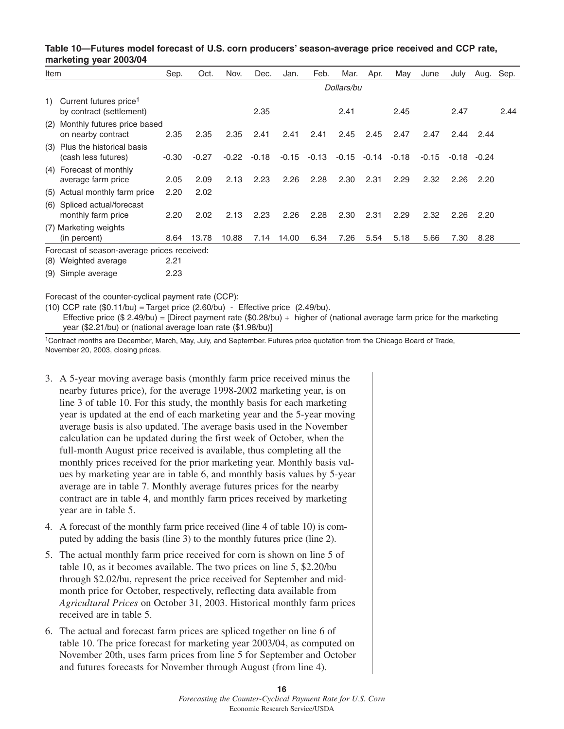#### **Table 10—Futures model forecast of U.S. corn producers' season-average price received and CCP rate, marketing year 2003/04**

| Item |                                                                | Sep.    | Oct.    | Nov.    | Dec.    | Jan.    | Feb.    | Mar.       | Apr.  | May     | June    | July  | Aug. Sep. |      |
|------|----------------------------------------------------------------|---------|---------|---------|---------|---------|---------|------------|-------|---------|---------|-------|-----------|------|
|      |                                                                |         |         |         |         |         |         | Dollars/bu |       |         |         |       |           |      |
| 1)   | Current futures price <sup>1</sup><br>by contract (settlement) |         |         |         | 2.35    |         |         | 2.41       |       | 2.45    |         | 2.47  |           | 2.44 |
|      | (2) Monthly futures price based<br>on nearby contract          | 2.35    | 2.35    | 2.35    | 2.41    | 2.41    | 2.41    | 2.45       | 2.45  | 2.47    | 2.47    | 2.44  | 2.44      |      |
|      | (3) Plus the historical basis<br>(cash less futures)           | $-0.30$ | $-0.27$ | $-0.22$ | $-0.18$ | $-0.15$ | $-0.13$ | $-0.15$    | -0.14 | $-0.18$ | $-0.15$ | -0.18 | $-0.24$   |      |
|      | (4) Forecast of monthly<br>average farm price                  | 2.05    | 2.09    | 2.13    | 2.23    | 2.26    | 2.28    | 2.30       | 2.31  | 2.29    | 2.32    | 2.26  | 2.20      |      |
|      | (5) Actual monthly farm price                                  | 2.20    | 2.02    |         |         |         |         |            |       |         |         |       |           |      |
|      | (6) Spliced actual/forecast<br>monthly farm price              | 2.20    | 2.02    | 2.13    | 2.23    | 2.26    | 2.28    | 2.30       | 2.31  | 2.29    | 2.32    | 2.26  | 2.20      |      |
|      | (7) Marketing weights<br>(in percent)                          | 8.64    | 13.78   | 10.88   | 7.14    | 14.00   | 6.34    | 7.26       | 5.54  | 5.18    | 5.66    | 7.30  | 8.28      |      |
|      | Forecast of season-average prices received:                    |         |         |         |         |         |         |            |       |         |         |       |           |      |
|      | (8) Weighted average                                           | 2.21    |         |         |         |         |         |            |       |         |         |       |           |      |

(9) Simple average 2.23

Forecast of the counter-cyclical payment rate (CCP):

(10) CCP rate  $(\$0.11/bu) = Target price (2.60/bu) - Effective price (2.49/bu).$ Effective price  $(\$ 2.49/bu) =$  [Direct payment rate  $(\$0.28/bu) +$  higher of (national average farm price for the marketing year (\$2.21/bu) or (national average loan rate (\$1.98/bu)]

1Contract months are December, March, May, July, and September. Futures price quotation from the Chicago Board of Trade, November 20, 2003, closing prices.

- 3. A 5-year moving average basis (monthly farm price received minus the nearby futures price), for the average 1998-2002 marketing year, is on line 3 of table 10. For this study, the monthly basis for each marketing year is updated at the end of each marketing year and the 5-year moving average basis is also updated. The average basis used in the November calculation can be updated during the first week of October, when the full-month August price received is available, thus completing all the monthly prices received for the prior marketing year. Monthly basis values by marketing year are in table 6, and monthly basis values by 5-year average are in table 7. Monthly average futures prices for the nearby contract are in table 4, and monthly farm prices received by marketing year are in table 5.
- 4. A forecast of the monthly farm price received (line 4 of table 10) is computed by adding the basis (line 3) to the monthly futures price (line 2).
- 5. The actual monthly farm price received for corn is shown on line 5 of table 10, as it becomes available. The two prices on line 5, \$2.20/bu through \$2.02/bu, represent the price received for September and midmonth price for October, respectively, reflecting data available from *Agricultural Prices* on October 31, 2003. Historical monthly farm prices received are in table 5.
- 6. The actual and forecast farm prices are spliced together on line 6 of table 10. The price forecast for marketing year 2003/04, as computed on November 20th, uses farm prices from line 5 for September and October and futures forecasts for November through August (from line 4).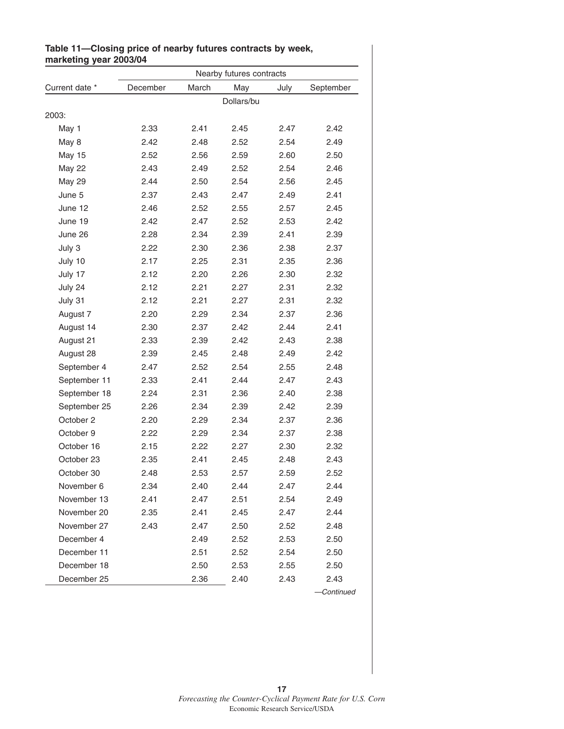|                |          |       | Nearby futures contracts |      |           |
|----------------|----------|-------|--------------------------|------|-----------|
| Current date * | December | March | May                      | July | September |
|                |          |       | Dollars/bu               |      |           |
| 2003:          |          |       |                          |      |           |
| May 1          | 2.33     | 2.41  | 2.45                     | 2.47 | 2.42      |
| May 8          | 2.42     | 2.48  | 2.52                     | 2.54 | 2.49      |
| <b>May 15</b>  | 2.52     | 2.56  | 2.59                     | 2.60 | 2.50      |
| <b>May 22</b>  | 2.43     | 2.49  | 2.52                     | 2.54 | 2.46      |
| <b>May 29</b>  | 2.44     | 2.50  | 2.54                     | 2.56 | 2.45      |
| June 5         | 2.37     | 2.43  | 2.47                     | 2.49 | 2.41      |
| June 12        | 2.46     | 2.52  | 2.55                     | 2.57 | 2.45      |
| June 19        | 2.42     | 2.47  | 2.52                     | 2.53 | 2.42      |
| June 26        | 2.28     | 2.34  | 2.39                     | 2.41 | 2.39      |
| July 3         | 2.22     | 2.30  | 2.36                     | 2.38 | 2.37      |
| July 10        | 2.17     | 2.25  | 2.31                     | 2.35 | 2.36      |
| July 17        | 2.12     | 2.20  | 2.26                     | 2.30 | 2.32      |
| July 24        | 2.12     | 2.21  | 2.27                     | 2.31 | 2.32      |
| July 31        | 2.12     | 2.21  | 2.27                     | 2.31 | 2.32      |
| August 7       | 2.20     | 2.29  | 2.34                     | 2.37 | 2.36      |
| August 14      | 2.30     | 2.37  | 2.42                     | 2.44 | 2.41      |
| August 21      | 2.33     | 2.39  | 2.42                     | 2.43 | 2.38      |
| August 28      | 2.39     | 2.45  | 2.48                     | 2.49 | 2.42      |
| September 4    | 2.47     | 2.52  | 2.54                     | 2.55 | 2.48      |
| September 11   | 2.33     | 2.41  | 2.44                     | 2.47 | 2.43      |
| September 18   | 2.24     | 2.31  | 2.36                     | 2.40 | 2.38      |
| September 25   | 2.26     | 2.34  | 2.39                     | 2.42 | 2.39      |
| October 2      | 2.20     | 2.29  | 2.34                     | 2.37 | 2.36      |
| October 9      | 2.22     | 2.29  | 2.34                     | 2.37 | 2.38      |
| October 16     | 2.15     | 2.22  | 2.27                     | 2.30 | 2.32      |
| October 23     | 2.35     | 2.41  | 2.45                     | 2.48 | 2.43      |
| October 30     | 2.48     | 2.53  | 2.57                     | 2.59 | 2.52      |
| November 6     | 2.34     | 2.40  | 2.44                     | 2.47 | 2.44      |
| November 13    | 2.41     | 2.47  | 2.51                     | 2.54 | 2.49      |
| November 20    | 2.35     | 2.41  | 2.45                     | 2.47 | 2.44      |
| November 27    | 2.43     | 2.47  | 2.50                     | 2.52 | 2.48      |
| December 4     |          | 2.49  | 2.52                     | 2.53 | 2.50      |
| December 11    |          | 2.51  | 2.52                     | 2.54 | 2.50      |
| December 18    |          | 2.50  | 2.53                     | 2.55 | 2.50      |
| December 25    |          | 2.36  | 2.40                     | 2.43 | 2.43      |

#### **Table 11—Closing price of nearby futures contracts by week, marketing year 2003/04**

—Continued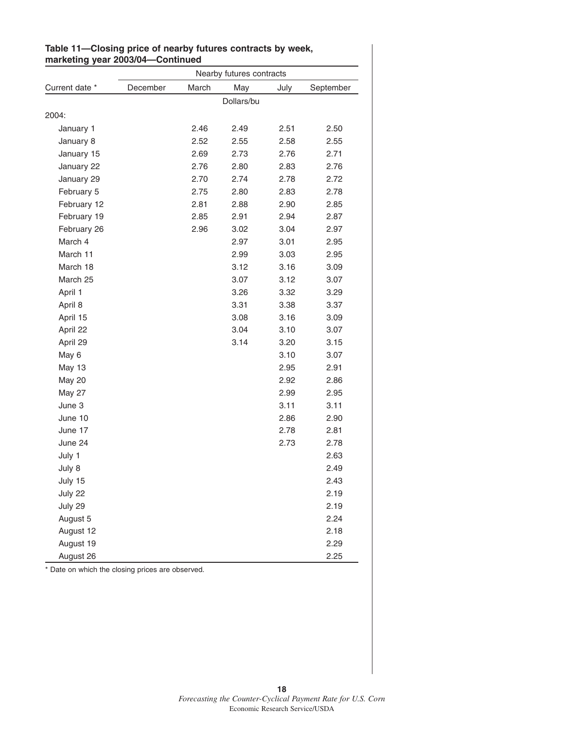|                | Nearby futures contracts |       |            |      |           |
|----------------|--------------------------|-------|------------|------|-----------|
| Current date * | December                 | March | May        | July | September |
|                |                          |       | Dollars/bu |      |           |
| 2004:          |                          |       |            |      |           |
| January 1      |                          | 2.46  | 2.49       | 2.51 | 2.50      |
| January 8      |                          | 2.52  | 2.55       | 2.58 | 2.55      |
| January 15     |                          | 2.69  | 2.73       | 2.76 | 2.71      |
| January 22     |                          | 2.76  | 2.80       | 2.83 | 2.76      |
| January 29     |                          | 2.70  | 2.74       | 2.78 | 2.72      |
| February 5     |                          | 2.75  | 2.80       | 2.83 | 2.78      |
| February 12    |                          | 2.81  | 2.88       | 2.90 | 2.85      |
| February 19    |                          | 2.85  | 2.91       | 2.94 | 2.87      |
| February 26    |                          | 2.96  | 3.02       | 3.04 | 2.97      |
| March 4        |                          |       | 2.97       | 3.01 | 2.95      |
| March 11       |                          |       | 2.99       | 3.03 | 2.95      |
| March 18       |                          |       | 3.12       | 3.16 | 3.09      |
| March 25       |                          |       | 3.07       | 3.12 | 3.07      |
| April 1        |                          |       | 3.26       | 3.32 | 3.29      |
| April 8        |                          |       | 3.31       | 3.38 | 3.37      |
| April 15       |                          |       | 3.08       | 3.16 | 3.09      |
| April 22       |                          |       | 3.04       | 3.10 | 3.07      |
| April 29       |                          |       | 3.14       | 3.20 | 3.15      |
| May 6          |                          |       |            | 3.10 | 3.07      |
| May 13         |                          |       |            | 2.95 | 2.91      |
| <b>May 20</b>  |                          |       |            | 2.92 | 2.86      |
| <b>May 27</b>  |                          |       |            | 2.99 | 2.95      |
| June 3         |                          |       |            | 3.11 | 3.11      |
| June 10        |                          |       |            | 2.86 | 2.90      |
| June 17        |                          |       |            | 2.78 | 2.81      |
| June 24        |                          |       |            | 2.73 | 2.78      |
| July 1         |                          |       |            |      | 2.63      |
| July 8         |                          |       |            |      | 2.49      |
| July 15        |                          |       |            |      | 2.43      |
| July 22        |                          |       |            |      | 2.19      |
| July 29        |                          |       |            |      | 2.19      |
| August 5       |                          |       |            |      | 2.24      |
| August 12      |                          |       |            |      | 2.18      |
| August 19      |                          |       |            |      | 2.29      |
| August 26      |                          |       |            |      | 2.25      |

#### **Table 11—Closing price of nearby futures contracts by week, marketing year 2003/04—Continued**

\* Date on which the closing prices are observed.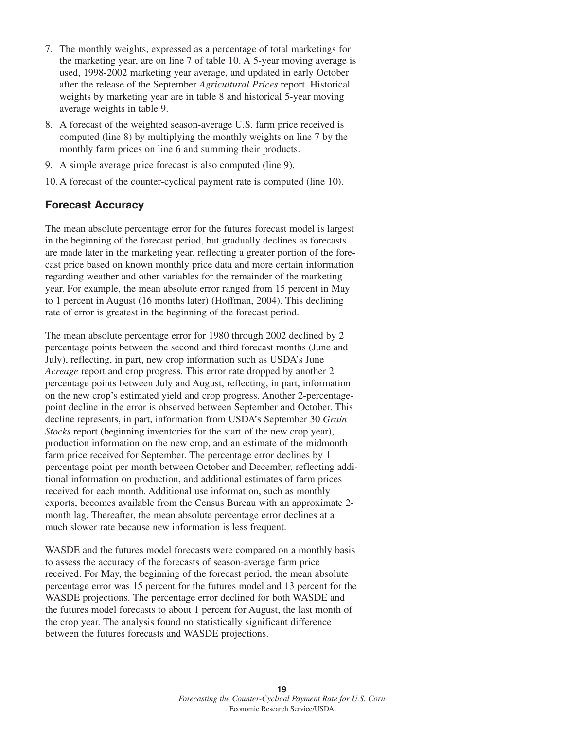- 7. The monthly weights, expressed as a percentage of total marketings for the marketing year, are on line 7 of table 10. A 5-year moving average is used, 1998-2002 marketing year average, and updated in early October after the release of the September *Agricultural Prices* report. Historical weights by marketing year are in table 8 and historical 5-year moving average weights in table 9.
- 8. A forecast of the weighted season-average U.S. farm price received is computed (line 8) by multiplying the monthly weights on line 7 by the monthly farm prices on line 6 and summing their products.
- 9. A simple average price forecast is also computed (line 9).
- 10. A forecast of the counter-cyclical payment rate is computed (line 10).

## **Forecast Accuracy**

The mean absolute percentage error for the futures forecast model is largest in the beginning of the forecast period, but gradually declines as forecasts are made later in the marketing year, reflecting a greater portion of the forecast price based on known monthly price data and more certain information regarding weather and other variables for the remainder of the marketing year. For example, the mean absolute error ranged from 15 percent in May to 1 percent in August (16 months later) (Hoffman, 2004). This declining rate of error is greatest in the beginning of the forecast period.

The mean absolute percentage error for 1980 through 2002 declined by 2 percentage points between the second and third forecast months (June and July), reflecting, in part, new crop information such as USDA's June *Acreage* report and crop progress. This error rate dropped by another 2 percentage points between July and August, reflecting, in part, information on the new crop's estimated yield and crop progress. Another 2-percentagepoint decline in the error is observed between September and October. This decline represents, in part, information from USDA's September 30 *Grain Stocks* report (beginning inventories for the start of the new crop year), production information on the new crop, and an estimate of the midmonth farm price received for September. The percentage error declines by 1 percentage point per month between October and December, reflecting additional information on production, and additional estimates of farm prices received for each month. Additional use information, such as monthly exports, becomes available from the Census Bureau with an approximate 2 month lag. Thereafter, the mean absolute percentage error declines at a much slower rate because new information is less frequent.

WASDE and the futures model forecasts were compared on a monthly basis to assess the accuracy of the forecasts of season-average farm price received. For May, the beginning of the forecast period, the mean absolute percentage error was 15 percent for the futures model and 13 percent for the WASDE projections. The percentage error declined for both WASDE and the futures model forecasts to about 1 percent for August, the last month of the crop year. The analysis found no statistically significant difference between the futures forecasts and WASDE projections.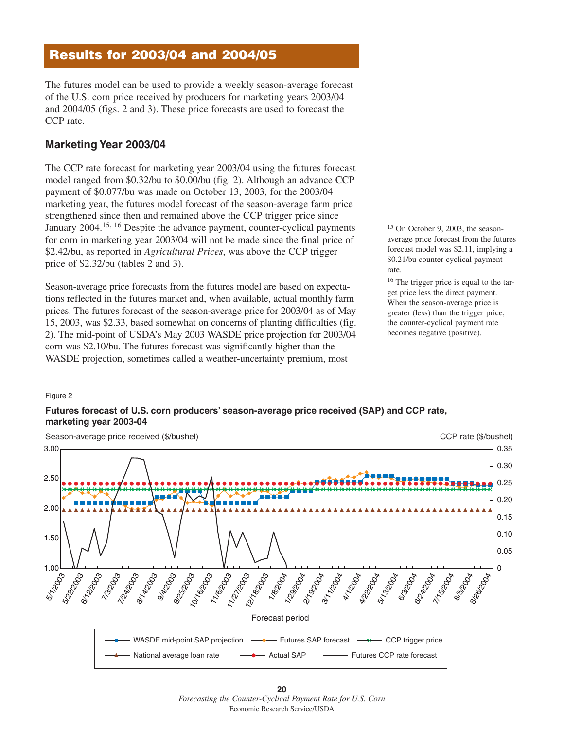## **Results for 2003/04 and 2004/05**

The futures model can be used to provide a weekly season-average forecast of the U.S. corn price received by producers for marketing years 2003/04 and 2004/05 (figs. 2 and 3). These price forecasts are used to forecast the CCP rate.

## **Marketing Year 2003/04**

The CCP rate forecast for marketing year 2003/04 using the futures forecast model ranged from \$0.32/bu to \$0.00/bu (fig. 2). Although an advance CCP payment of \$0.077/bu was made on October 13, 2003, for the 2003/04 marketing year, the futures model forecast of the season-average farm price strengthened since then and remained above the CCP trigger price since January 2004.<sup>15, 16</sup> Despite the advance payment, counter-cyclical payments for corn in marketing year 2003/04 will not be made since the final price of \$2.42/bu, as reported in *Agricultural Prices*, was above the CCP trigger price of \$2.32/bu (tables 2 and 3).

Season-average price forecasts from the futures model are based on expectations reflected in the futures market and, when available, actual monthly farm prices. The futures forecast of the season-average price for 2003/04 as of May 15, 2003, was \$2.33, based somewhat on concerns of planting difficulties (fig. 2). The mid-point of USDA's May 2003 WASDE price projection for 2003/04 corn was \$2.10/bu. The futures forecast was significantly higher than the WASDE projection, sometimes called a weather-uncertainty premium, most

<sup>15</sup> On October 9, 2003, the seasonaverage price forecast from the futures forecast model was \$2.11, implying a \$0.21/bu counter-cyclical payment rate.

<sup>16</sup> The trigger price is equal to the target price less the direct payment. When the season-average price is greater (less) than the trigger price, the counter-cyclical payment rate becomes negative (positive).

#### Figure 2

#### **Futures forecast of U.S. corn producers' season-average price received (SAP) and CCP rate, marketing year 2003-04**



**<sup>20</sup>** *Forecasting the Counter-Cyclical Payment Rate for U.S. Corn* Economic Research Service/USDA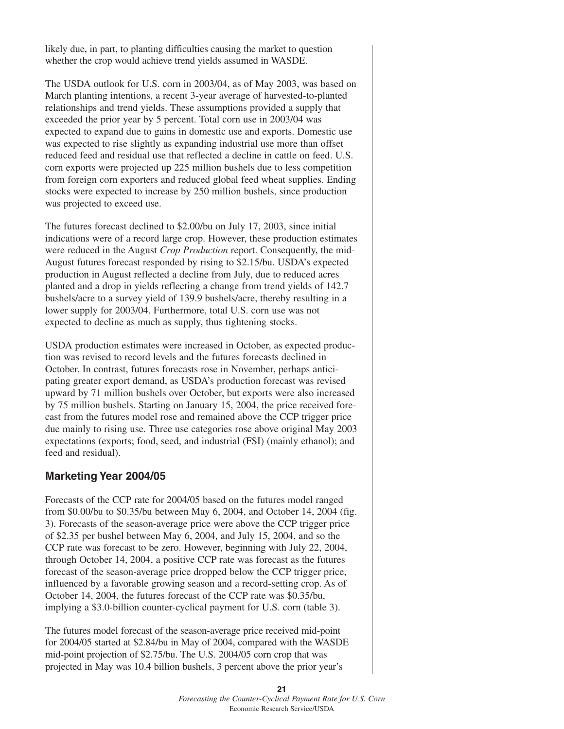likely due, in part, to planting difficulties causing the market to question whether the crop would achieve trend yields assumed in WASDE.

The USDA outlook for U.S. corn in 2003/04, as of May 2003, was based on March planting intentions, a recent 3-year average of harvested-to-planted relationships and trend yields. These assumptions provided a supply that exceeded the prior year by 5 percent. Total corn use in 2003/04 was expected to expand due to gains in domestic use and exports. Domestic use was expected to rise slightly as expanding industrial use more than offset reduced feed and residual use that reflected a decline in cattle on feed. U.S. corn exports were projected up 225 million bushels due to less competition from foreign corn exporters and reduced global feed wheat supplies. Ending stocks were expected to increase by 250 million bushels, since production was projected to exceed use.

The futures forecast declined to \$2.00/bu on July 17, 2003, since initial indications were of a record large crop. However, these production estimates were reduced in the August *Crop Production* report. Consequently, the mid-August futures forecast responded by rising to \$2.15/bu. USDA's expected production in August reflected a decline from July, due to reduced acres planted and a drop in yields reflecting a change from trend yields of 142.7 bushels/acre to a survey yield of 139.9 bushels/acre, thereby resulting in a lower supply for 2003/04. Furthermore, total U.S. corn use was not expected to decline as much as supply, thus tightening stocks.

USDA production estimates were increased in October, as expected production was revised to record levels and the futures forecasts declined in October. In contrast, futures forecasts rose in November, perhaps anticipating greater export demand, as USDA's production forecast was revised upward by 71 million bushels over October, but exports were also increased by 75 million bushels. Starting on January 15, 2004, the price received forecast from the futures model rose and remained above the CCP trigger price due mainly to rising use. Three use categories rose above original May 2003 expectations (exports; food, seed, and industrial (FSI) (mainly ethanol); and feed and residual).

## **Marketing Year 2004/05**

Forecasts of the CCP rate for 2004/05 based on the futures model ranged from \$0.00/bu to \$0.35/bu between May 6, 2004, and October 14, 2004 (fig. 3). Forecasts of the season-average price were above the CCP trigger price of \$2.35 per bushel between May 6, 2004, and July 15, 2004, and so the CCP rate was forecast to be zero. However, beginning with July 22, 2004, through October 14, 2004, a positive CCP rate was forecast as the futures forecast of the season-average price dropped below the CCP trigger price, influenced by a favorable growing season and a record-setting crop. As of October 14, 2004, the futures forecast of the CCP rate was \$0.35/bu, implying a \$3.0-billion counter-cyclical payment for U.S. corn (table 3).

The futures model forecast of the season-average price received mid-point for 2004/05 started at \$2.84/bu in May of 2004, compared with the WASDE mid-point projection of \$2.75/bu. The U.S. 2004/05 corn crop that was projected in May was 10.4 billion bushels, 3 percent above the prior year's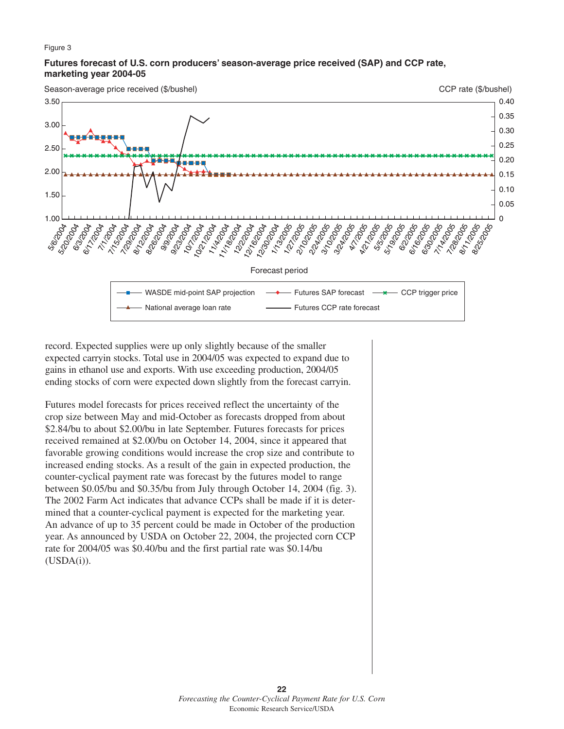#### Figure 3

#### **Futures forecast of U.S. corn producers' season-average price received (SAP) and CCP rate, marketing year 2004-05**

Season-average price received (\$/bushel)

Forecast period CCP rate (\$/bushel) WASDE mid-point SAP projection National average loan rate Futures SAP forecast Futures CCP rate forecast CCP trigger price 5<sub>6000</sub>4 Sippoor 6<sub>(3)</sub><br>6(3)<br>004 6/17/2004 1 7/1/2004 1 **7/15/2004 7/29/2004** 8/12/2004 + 8/26/2004 1 9/9/2004 + 9/23/2004 10/2004  $\frac{\partial \varphi_{\chi}}{\partial \varphi_{\chi}}$ 11/4/2004 1 11/18/2004 12/2004  $15\frac{1}{2}\sqrt{27}$ 12<sub>300</sub>2004 1 1/13/2005 1 1/2/2005 1 2/10/2005 -2/22/2005 3/10/2005 F 3/24/2005 L **RIVER RATION** 5/5/2005 + 5/19/2005 8/2006 1 6/16/2005 I 6:30/2005 -**7/14/2005** + **7/28/2005** 8/11/2005 1 8/25/2005 F 1.00 1.50 2.00 2.50 3.00 3.50  $\Omega$ 0.05 0.10 0.15 0.20 0.25 0.30 0.35 0.40

record. Expected supplies were up only slightly because of the smaller expected carryin stocks. Total use in 2004/05 was expected to expand due to gains in ethanol use and exports. With use exceeding production, 2004/05 ending stocks of corn were expected down slightly from the forecast carryin.

Futures model forecasts for prices received reflect the uncertainty of the crop size between May and mid-October as forecasts dropped from about \$2.84/bu to about \$2.00/bu in late September. Futures forecasts for prices received remained at \$2.00/bu on October 14, 2004, since it appeared that favorable growing conditions would increase the crop size and contribute to increased ending stocks. As a result of the gain in expected production, the counter-cyclical payment rate was forecast by the futures model to range between \$0.05/bu and \$0.35/bu from July through October 14, 2004 (fig. 3). The 2002 Farm Act indicates that advance CCPs shall be made if it is determined that a counter-cyclical payment is expected for the marketing year. An advance of up to 35 percent could be made in October of the production year. As announced by USDA on October 22, 2004, the projected corn CCP rate for 2004/05 was \$0.40/bu and the first partial rate was \$0.14/bu  $(USDA(i)).$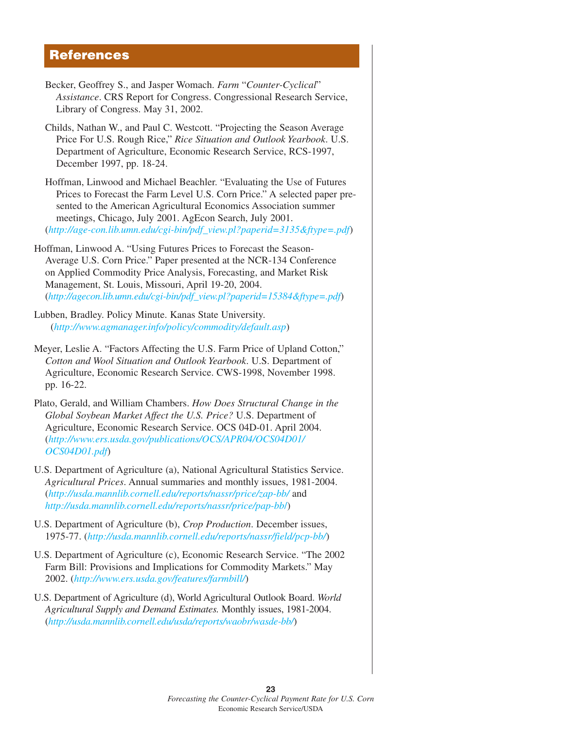## **References**

- Becker, Geoffrey S., and Jasper Womach. *Farm* "*Counter-Cyclical*" *Assistance*. CRS Report for Congress. Congressional Research Service, Library of Congress. May 31, 2002.
- Childs, Nathan W., and Paul C. Westcott. "Projecting the Season Average Price For U.S. Rough Rice," *Rice Situation and Outlook Yearbook*. U.S. Department of Agriculture, Economic Research Service, RCS-1997, December 1997, pp. 18-24.
- Hoffman, Linwood and Michael Beachler. "Evaluating the Use of Futures Prices to Forecast the Farm Level U.S. Corn Price." A selected paper presented to the American Agricultural Economics Association summer meetings, Chicago, July 2001. AgEcon Search, July 2001. (*[http://age-con.lib.umn.edu/cgi-bin/pdf\\_view.pl?paperid=3135&ftype=.pdf](http://agecon.lib.umn.edu/cgi-bin/pdf_view.pl?paperid=3135&ftype=.pdf)*)
- Hoffman, Linwood A. "Using Futures Prices to Forecast the Season-Average U.S. Corn Price." Paper presented at the NCR-134 Conference on Applied Commodity Price Analysis, Forecasting, and Market Risk Management, St. Louis, Missouri, April 19-20, 2004. (*[http://agecon.lib.umn.edu/cgi-bin/pdf\\_view.pl?paperid=15384&ftype=.pdf](http://agecon.lib.umn.edu/cgi-bin/pdf_view.pl?paperid=15384&ftype=.pdf)*)
- Lubben, Bradley. Policy Minute. Kanas State University. (*<http://www.agmanager.info/policy/commodity/default.asp>*)
- Meyer, Leslie A. "Factors Affecting the U.S. Farm Price of Upland Cotton," *Cotton and Wool Situation and Outlook Yearbook*. U.S. Department of Agriculture, Economic Research Service. CWS-1998, November 1998. pp. 16-22.
- Plato, Gerald, and William Chambers. *How Does Structural Change in the Global Soybean Market Affect the U.S. Price?* U.S. Department of Agriculture, Economic Research Service. OCS 04D-01. April 2004. (*[http://www.ers.usda.gov/publications/OCS/APR04/OCS04D01/](http://www.ers.usda.gov/publications/OCS/APR04/OCS04D01/OCS04D01.pdf) OCS04D01.pdf*)
- U.S. Department of Agriculture (a), National Agricultural Statistics Service. *Agricultural Prices*. Annual summaries and monthly issues, 1981-2004. (*<http://usda.mannlib.cornell.edu/reports/nassr/price/zap-bb/>* and *[http://usda.mannlib.cornell.edu/reports/nassr/price/pap-bb](http://usda.mannlib.cornell.edu/reports/nassr/price/pap-bb/)*/)
- U.S. Department of Agriculture (b), *Crop Production*. December issues, 1975-77. (*<http://usda.mannlib.cornell.edu/reports/nassr/field/pcp-bb/>*)
- U.S. Department of Agriculture (c), Economic Research Service. "The 2002 Farm Bill: Provisions and Implications for Commodity Markets." May 2002. (*<http://www.ers.usda.gov/features/farmbill/>*)
- U.S. Department of Agriculture (d), World Agricultural Outlook Board. *World Agricultural Supply and Demand Estimates.* Monthly issues, 1981-2004. (*<http://usda.mannlib.cornell.edu/usda/reports/waobr/wasde-bb/>*)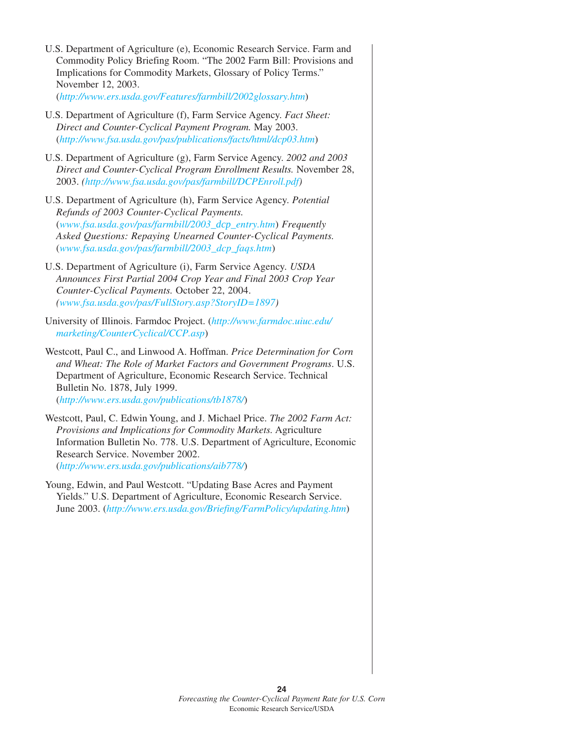| U.S. Department of Agriculture (e), Economic Research Service. Farm and<br>Commodity Policy Briefing Room. "The 2002 Farm Bill: Provisions and<br>Implications for Commodity Markets, Glossary of Policy Terms."<br>November 12, 2003.<br>(http://www.ers.usda.gov/Features/farmbill/2002glossary.htm)  |
|---------------------------------------------------------------------------------------------------------------------------------------------------------------------------------------------------------------------------------------------------------------------------------------------------------|
| U.S. Department of Agriculture (f), Farm Service Agency. Fact Sheet:<br>Direct and Counter-Cyclical Payment Program. May 2003.<br>(http://www.fsa.usda.gov/pas/publications/facts/html/dcp03.htm)                                                                                                       |
| U.S. Department of Agriculture (g), Farm Service Agency. 2002 and 2003<br>Direct and Counter-Cyclical Program Enrollment Results. November 28,<br>2003. (http://www.fsa.usda.gov/pas/farmbill/DCPEnroll.pdf)                                                                                            |
| U.S. Department of Agriculture (h), Farm Service Agency. Potential<br>Refunds of 2003 Counter-Cyclical Payments.<br>(www.fsa.usda.gov/pas/farmbill/2003_dcp_entry.htm) Frequently<br>Asked Questions: Repaying Unearned Counter-Cyclical Payments.<br>(www.fsa.usda.gov/pas/farmbill/2003_dcp_faqs.htm) |
| U.S. Department of Agriculture (i), Farm Service Agency. USDA<br>Announces First Partial 2004 Crop Year and Final 2003 Crop Year<br>Counter-Cyclical Payments. October 22, 2004.<br>$(www.fsa.usda.gov/pas/Full Story.asp? StoryID=1897)$                                                               |
| University of Illinois. Farmdoc Project. (http://www.farmdoc.uiuc.edu/<br>marketing/CounterCyclical/CCP.asp)                                                                                                                                                                                            |
| Westcott, Paul C., and Linwood A. Hoffman. Price Determination for Corn<br>and Wheat: The Role of Market Factors and Government Programs. U.S.<br>Department of Agriculture, Economic Research Service. Technical<br>Bulletin No. 1878, July 1999.<br>(http://www.ers.usda.gov/publications/tb1878/)    |
| Westcott, Paul, C. Edwin Young, and J. Michael Price. The 2002 Farm Act:<br>Provisions and Implications for Commodity Markets. Agriculture<br>Information Bulletin No. 778. U.S. Department of Agriculture, Economic<br>Research Service. November 2002.                                                |

(*<http://www.ers.usda.gov/publications/aib778/>*)

Young, Edwin, and Paul Westcott. "Updating Base Acres and Payment Yields." U.S. Department of Agriculture, Economic Research Service. June 2003. (*[http://www.ers.usda.gov/Briefing/FarmPolicy/updating.htm](http://www.ers.usda.gov/briefing/farmpolicy/updating.htm)*)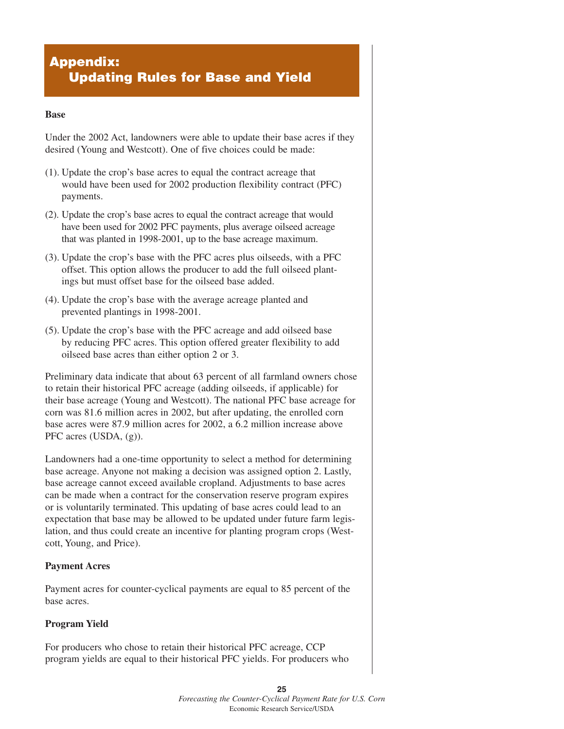## **Appendix: Updating Rules for Base and Yield**

#### **Base**

Under the 2002 Act, landowners were able to update their base acres if they desired (Young and Westcott). One of five choices could be made:

- (1). Update the crop's base acres to equal the contract acreage that would have been used for 2002 production flexibility contract (PFC) payments.
- (2). Update the crop's base acres to equal the contract acreage that would have been used for 2002 PFC payments, plus average oilseed acreage that was planted in 1998-2001, up to the base acreage maximum.
- (3). Update the crop's base with the PFC acres plus oilseeds, with a PFC offset. This option allows the producer to add the full oilseed plantings but must offset base for the oilseed base added.
- (4). Update the crop's base with the average acreage planted and prevented plantings in 1998-2001.
- (5). Update the crop's base with the PFC acreage and add oilseed base by reducing PFC acres. This option offered greater flexibility to add oilseed base acres than either option 2 or 3.

Preliminary data indicate that about 63 percent of all farmland owners chose to retain their historical PFC acreage (adding oilseeds, if applicable) for their base acreage (Young and Westcott). The national PFC base acreage for corn was 81.6 million acres in 2002, but after updating, the enrolled corn base acres were 87.9 million acres for 2002, a 6.2 million increase above PFC acres (USDA, (g)).

Landowners had a one-time opportunity to select a method for determining base acreage. Anyone not making a decision was assigned option 2. Lastly, base acreage cannot exceed available cropland. Adjustments to base acres can be made when a contract for the conservation reserve program expires or is voluntarily terminated. This updating of base acres could lead to an expectation that base may be allowed to be updated under future farm legislation, and thus could create an incentive for planting program crops (Westcott, Young, and Price).

## **Payment Acres**

Payment acres for counter-cyclical payments are equal to 85 percent of the base acres.

## **Program Yield**

For producers who chose to retain their historical PFC acreage, CCP program yields are equal to their historical PFC yields. For producers who